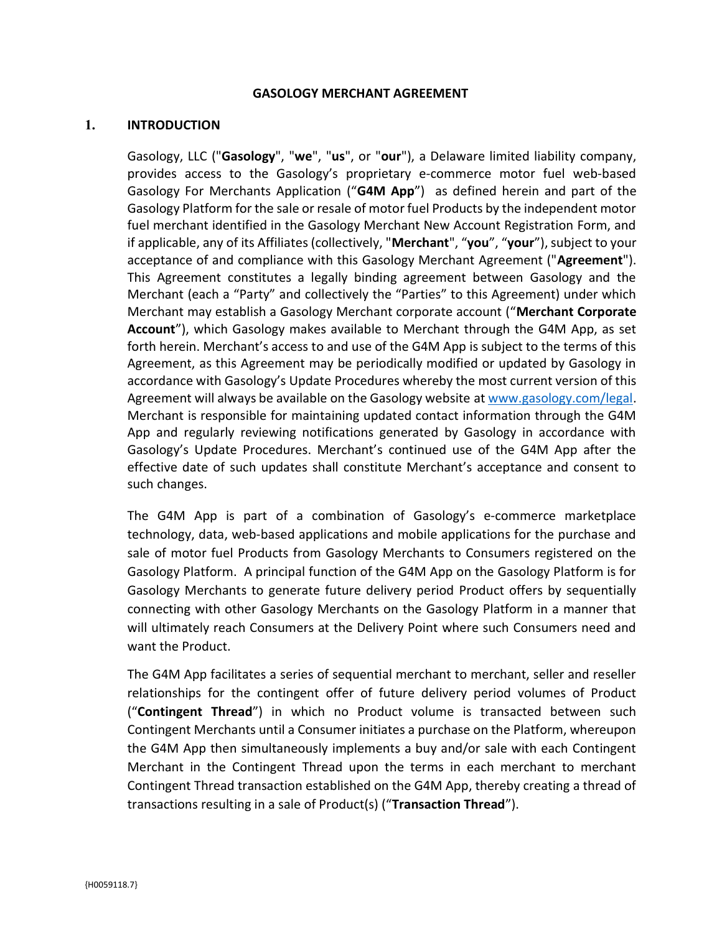#### GASOLOGY MERCHANT AGREEMENT

#### 1. INTRODUCTION

Gasology, LLC ("Gasology", "we", "us", or "our"), a Delaware limited liability company, provides access to the Gasology's proprietary e-commerce motor fuel web-based Gasology For Merchants Application ("G4M App") as defined herein and part of the Gasology Platform for the sale or resale of motor fuel Products by the independent motor fuel merchant identified in the Gasology Merchant New Account Registration Form, and if applicable, any of its Affiliates (collectively, "Merchant", "you", "your"), subject to your acceptance of and compliance with this Gasology Merchant Agreement ("Agreement"). This Agreement constitutes a legally binding agreement between Gasology and the Merchant (each a "Party" and collectively the "Parties" to this Agreement) under which Merchant may establish a Gasology Merchant corporate account ("Merchant Corporate Account"), which Gasology makes available to Merchant through the G4M App, as set forth herein. Merchant's access to and use of the G4M App is subject to the terms of this Agreement, as this Agreement may be periodically modified or updated by Gasology in accordance with Gasology's Update Procedures whereby the most current version of this Agreement will always be available on the Gasology website at www.gasology.com/legal. Merchant is responsible for maintaining updated contact information through the G4M App and regularly reviewing notifications generated by Gasology in accordance with Gasology's Update Procedures. Merchant's continued use of the G4M App after the effective date of such updates shall constitute Merchant's acceptance and consent to such changes.

The G4M App is part of a combination of Gasology's e-commerce marketplace technology, data, web-based applications and mobile applications for the purchase and sale of motor fuel Products from Gasology Merchants to Consumers registered on the Gasology Platform. A principal function of the G4M App on the Gasology Platform is for Gasology Merchants to generate future delivery period Product offers by sequentially connecting with other Gasology Merchants on the Gasology Platform in a manner that will ultimately reach Consumers at the Delivery Point where such Consumers need and want the Product.

The G4M App facilitates a series of sequential merchant to merchant, seller and reseller relationships for the contingent offer of future delivery period volumes of Product ("Contingent Thread") in which no Product volume is transacted between such Contingent Merchants until a Consumer initiates a purchase on the Platform, whereupon the G4M App then simultaneously implements a buy and/or sale with each Contingent Merchant in the Contingent Thread upon the terms in each merchant to merchant Contingent Thread transaction established on the G4M App, thereby creating a thread of transactions resulting in a sale of Product(s) ("Transaction Thread").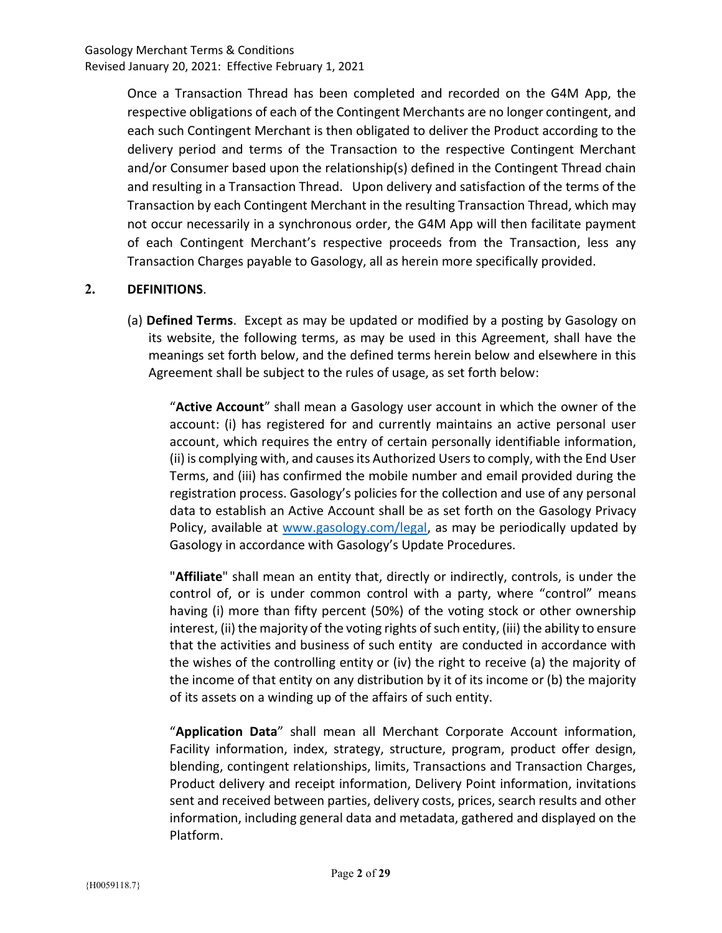Once a Transaction Thread has been completed and recorded on the G4M App, the respective obligations of each of the Contingent Merchants are no longer contingent, and each such Contingent Merchant is then obligated to deliver the Product according to the delivery period and terms of the Transaction to the respective Contingent Merchant and/or Consumer based upon the relationship(s) defined in the Contingent Thread chain and resulting in a Transaction Thread. Upon delivery and satisfaction of the terms of the Transaction by each Contingent Merchant in the resulting Transaction Thread, which may not occur necessarily in a synchronous order, the G4M App will then facilitate payment of each Contingent Merchant's respective proceeds from the Transaction, less any Transaction Charges payable to Gasology, all as herein more specifically provided.

# 2. DEFINITIONS.

(a) Defined Terms. Except as may be updated or modified by a posting by Gasology on its website, the following terms, as may be used in this Agreement, shall have the meanings set forth below, and the defined terms herein below and elsewhere in this Agreement shall be subject to the rules of usage, as set forth below:

"Active Account" shall mean a Gasology user account in which the owner of the account: (i) has registered for and currently maintains an active personal user account, which requires the entry of certain personally identifiable information, (ii) is complying with, and causes its Authorized Users to comply, with the End User Terms, and (iii) has confirmed the mobile number and email provided during the registration process. Gasology's policies for the collection and use of any personal data to establish an Active Account shall be as set forth on the Gasology Privacy Policy, available at www.gasology.com/legal, as may be periodically updated by Gasology in accordance with Gasology's Update Procedures.

"Affiliate" shall mean an entity that, directly or indirectly, controls, is under the control of, or is under common control with a party, where "control" means having (i) more than fifty percent (50%) of the voting stock or other ownership interest, (ii) the majority of the voting rights of such entity, (iii) the ability to ensure that the activities and business of such entity are conducted in accordance with the wishes of the controlling entity or (iv) the right to receive (a) the majority of the income of that entity on any distribution by it of its income or (b) the majority of its assets on a winding up of the affairs of such entity.

"Application Data" shall mean all Merchant Corporate Account information, Facility information, index, strategy, structure, program, product offer design, blending, contingent relationships, limits, Transactions and Transaction Charges, Product delivery and receipt information, Delivery Point information, invitations sent and received between parties, delivery costs, prices, search results and other information, including general data and metadata, gathered and displayed on the Platform.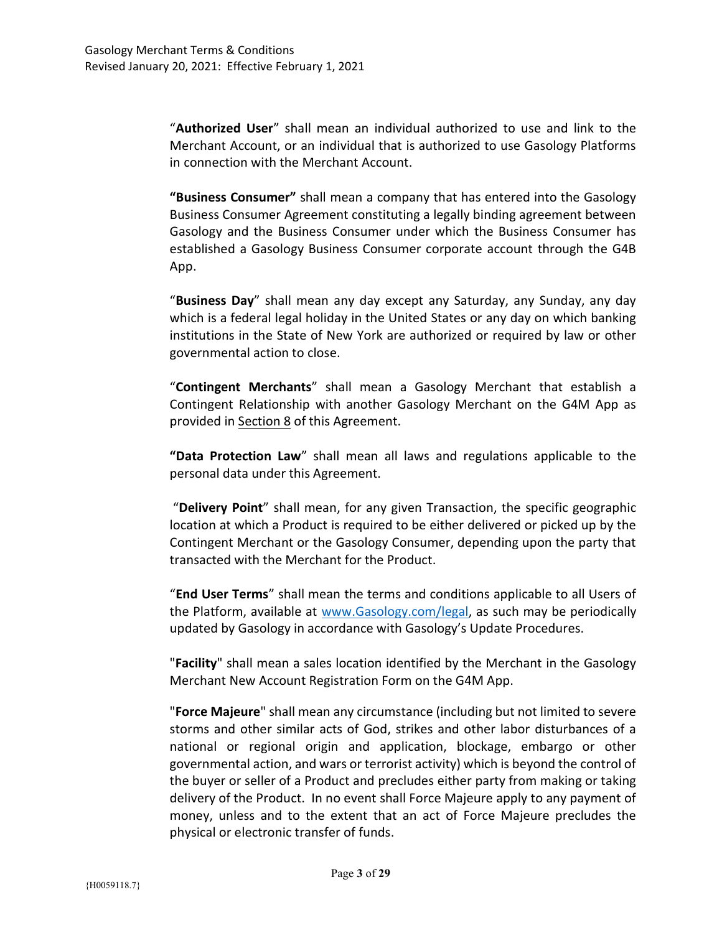"Authorized User" shall mean an individual authorized to use and link to the Merchant Account, or an individual that is authorized to use Gasology Platforms in connection with the Merchant Account.

"Business Consumer" shall mean a company that has entered into the Gasology Business Consumer Agreement constituting a legally binding agreement between Gasology and the Business Consumer under which the Business Consumer has established a Gasology Business Consumer corporate account through the G4B App.

"Business Day" shall mean any day except any Saturday, any Sunday, any day which is a federal legal holiday in the United States or any day on which banking institutions in the State of New York are authorized or required by law or other governmental action to close.

"Contingent Merchants" shall mean a Gasology Merchant that establish a Contingent Relationship with another Gasology Merchant on the G4M App as provided in Section 8 of this Agreement.

"Data Protection Law" shall mean all laws and regulations applicable to the personal data under this Agreement.

 "Delivery Point" shall mean, for any given Transaction, the specific geographic location at which a Product is required to be either delivered or picked up by the Contingent Merchant or the Gasology Consumer, depending upon the party that transacted with the Merchant for the Product.

"End User Terms" shall mean the terms and conditions applicable to all Users of the Platform, available at www.Gasology.com/legal, as such may be periodically updated by Gasology in accordance with Gasology's Update Procedures.

"Facility" shall mean a sales location identified by the Merchant in the Gasology Merchant New Account Registration Form on the G4M App.

"Force Majeure" shall mean any circumstance (including but not limited to severe storms and other similar acts of God, strikes and other labor disturbances of a national or regional origin and application, blockage, embargo or other governmental action, and wars or terrorist activity) which is beyond the control of the buyer or seller of a Product and precludes either party from making or taking delivery of the Product. In no event shall Force Majeure apply to any payment of money, unless and to the extent that an act of Force Majeure precludes the physical or electronic transfer of funds.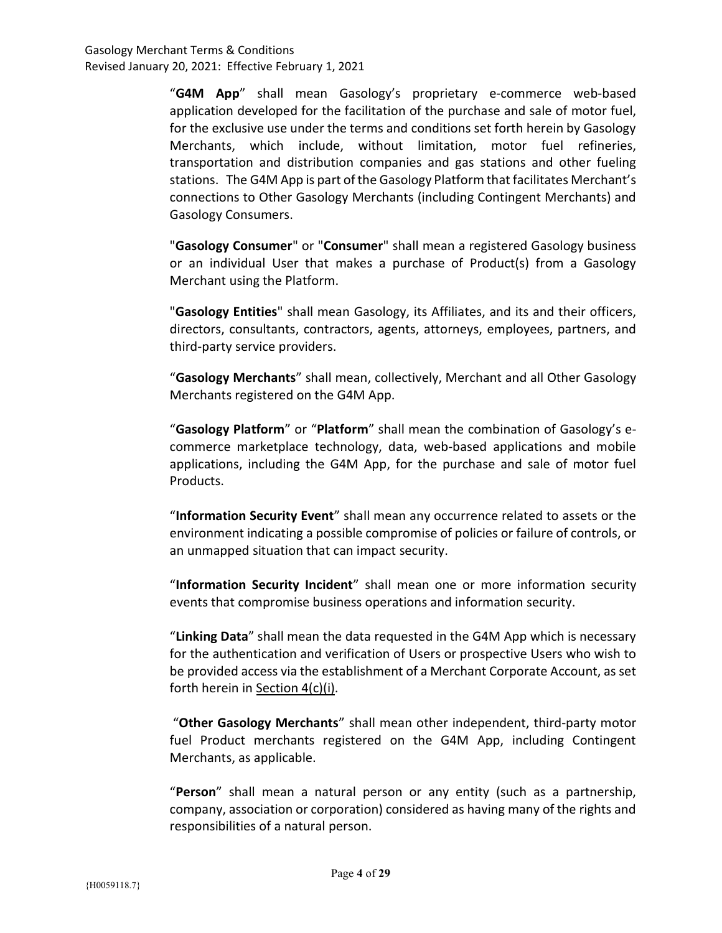"G4M App" shall mean Gasology's proprietary e-commerce web-based application developed for the facilitation of the purchase and sale of motor fuel, for the exclusive use under the terms and conditions set forth herein by Gasology Merchants, which include, without limitation, motor fuel refineries, transportation and distribution companies and gas stations and other fueling stations. The G4M App is part of the Gasology Platform that facilitates Merchant's connections to Other Gasology Merchants (including Contingent Merchants) and Gasology Consumers.

"Gasology Consumer" or "Consumer" shall mean a registered Gasology business or an individual User that makes a purchase of Product(s) from a Gasology Merchant using the Platform.

"Gasology Entities" shall mean Gasology, its Affiliates, and its and their officers, directors, consultants, contractors, agents, attorneys, employees, partners, and third-party service providers.

"Gasology Merchants" shall mean, collectively, Merchant and all Other Gasology Merchants registered on the G4M App.

"Gasology Platform" or "Platform" shall mean the combination of Gasology's ecommerce marketplace technology, data, web-based applications and mobile applications, including the G4M App, for the purchase and sale of motor fuel Products.

"Information Security Event" shall mean any occurrence related to assets or the environment indicating a possible compromise of policies or failure of controls, or an unmapped situation that can impact security.

"Information Security Incident" shall mean one or more information security events that compromise business operations and information security.

"Linking Data" shall mean the data requested in the G4M App which is necessary for the authentication and verification of Users or prospective Users who wish to be provided access via the establishment of a Merchant Corporate Account, as set forth herein in Section 4(c)(i).

"Other Gasology Merchants" shall mean other independent, third-party motor fuel Product merchants registered on the G4M App, including Contingent Merchants, as applicable.

"Person" shall mean a natural person or any entity (such as a partnership, company, association or corporation) considered as having many of the rights and responsibilities of a natural person.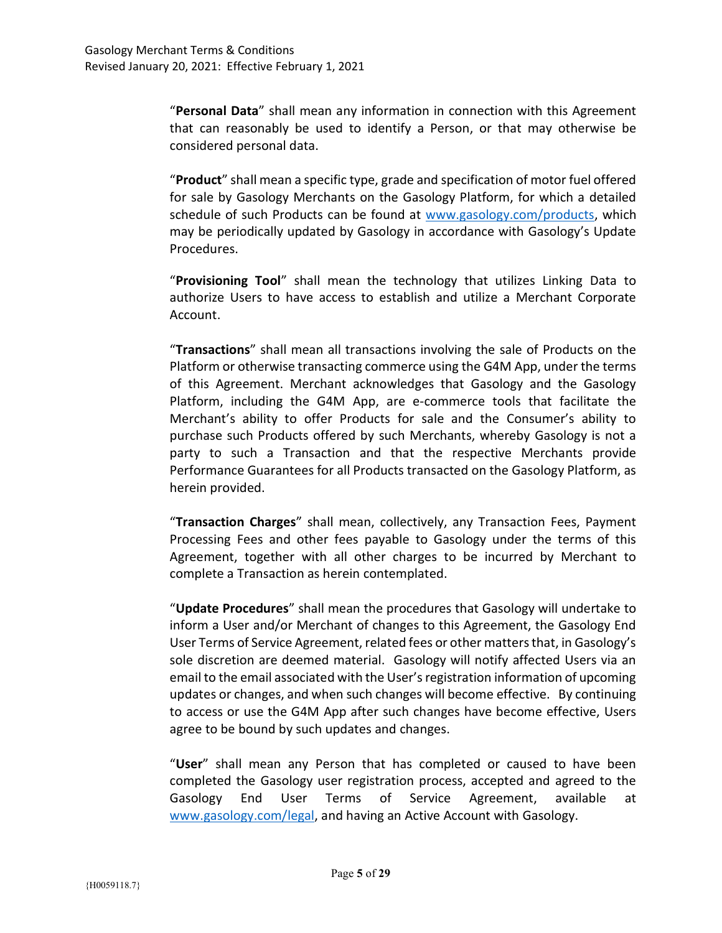"Personal Data" shall mean any information in connection with this Agreement that can reasonably be used to identify a Person, or that may otherwise be considered personal data.

"Product" shall mean a specific type, grade and specification of motor fuel offered for sale by Gasology Merchants on the Gasology Platform, for which a detailed schedule of such Products can be found at www.gasology.com/products, which may be periodically updated by Gasology in accordance with Gasology's Update Procedures.

"Provisioning Tool" shall mean the technology that utilizes Linking Data to authorize Users to have access to establish and utilize a Merchant Corporate Account.

"Transactions" shall mean all transactions involving the sale of Products on the Platform or otherwise transacting commerce using the G4M App, under the terms of this Agreement. Merchant acknowledges that Gasology and the Gasology Platform, including the G4M App, are e-commerce tools that facilitate the Merchant's ability to offer Products for sale and the Consumer's ability to purchase such Products offered by such Merchants, whereby Gasology is not a party to such a Transaction and that the respective Merchants provide Performance Guarantees for all Products transacted on the Gasology Platform, as herein provided.

"Transaction Charges" shall mean, collectively, any Transaction Fees, Payment Processing Fees and other fees payable to Gasology under the terms of this Agreement, together with all other charges to be incurred by Merchant to complete a Transaction as herein contemplated.

"Update Procedures" shall mean the procedures that Gasology will undertake to inform a User and/or Merchant of changes to this Agreement, the Gasology End User Terms of Service Agreement, related fees or other matters that, in Gasology's sole discretion are deemed material. Gasology will notify affected Users via an email to the email associated with the User's registration information of upcoming updates or changes, and when such changes will become effective. By continuing to access or use the G4M App after such changes have become effective, Users agree to be bound by such updates and changes.

"User" shall mean any Person that has completed or caused to have been completed the Gasology user registration process, accepted and agreed to the Gasology End User Terms of Service Agreement, available at www.gasology.com/legal, and having an Active Account with Gasology.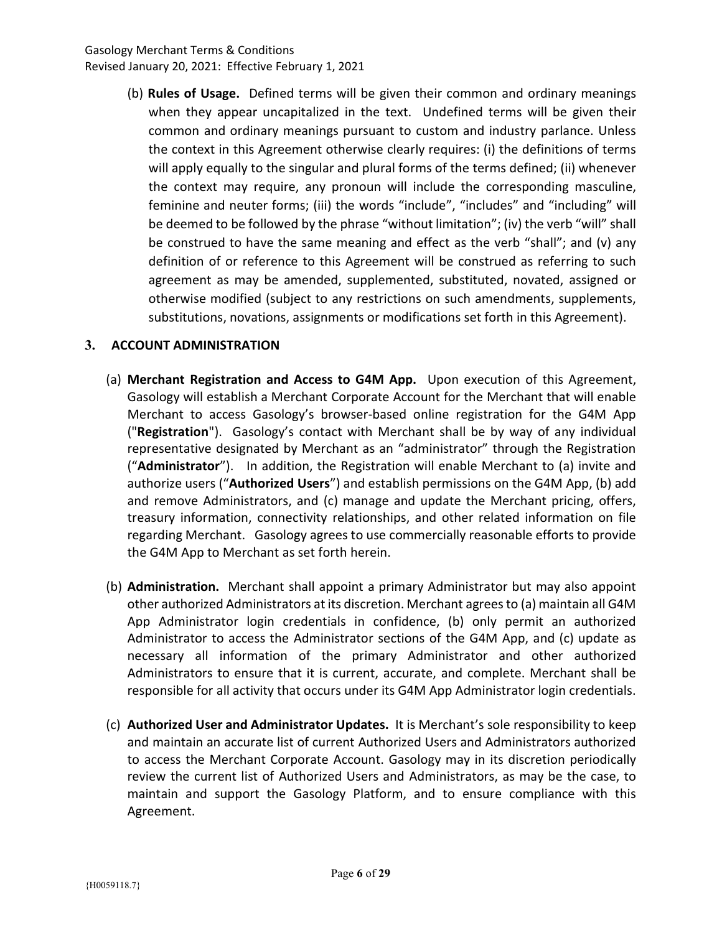(b) Rules of Usage. Defined terms will be given their common and ordinary meanings when they appear uncapitalized in the text. Undefined terms will be given their common and ordinary meanings pursuant to custom and industry parlance. Unless the context in this Agreement otherwise clearly requires: (i) the definitions of terms will apply equally to the singular and plural forms of the terms defined; (ii) whenever the context may require, any pronoun will include the corresponding masculine, feminine and neuter forms; (iii) the words "include", "includes" and "including" will be deemed to be followed by the phrase "without limitation"; (iv) the verb "will" shall be construed to have the same meaning and effect as the verb "shall"; and (v) any definition of or reference to this Agreement will be construed as referring to such agreement as may be amended, supplemented, substituted, novated, assigned or otherwise modified (subject to any restrictions on such amendments, supplements, substitutions, novations, assignments or modifications set forth in this Agreement).

# 3. ACCOUNT ADMINISTRATION

- (a) Merchant Registration and Access to G4M App. Upon execution of this Agreement, Gasology will establish a Merchant Corporate Account for the Merchant that will enable Merchant to access Gasology's browser-based online registration for the G4M App ("Registration"). Gasology's contact with Merchant shall be by way of any individual representative designated by Merchant as an "administrator" through the Registration ("Administrator"). In addition, the Registration will enable Merchant to (a) invite and authorize users ("Authorized Users") and establish permissions on the G4M App, (b) add and remove Administrators, and (c) manage and update the Merchant pricing, offers, treasury information, connectivity relationships, and other related information on file regarding Merchant. Gasology agrees to use commercially reasonable efforts to provide the G4M App to Merchant as set forth herein.
- (b) Administration. Merchant shall appoint a primary Administrator but may also appoint other authorized Administrators at its discretion. Merchant agrees to (a) maintain all G4M App Administrator login credentials in confidence, (b) only permit an authorized Administrator to access the Administrator sections of the G4M App, and (c) update as necessary all information of the primary Administrator and other authorized Administrators to ensure that it is current, accurate, and complete. Merchant shall be responsible for all activity that occurs under its G4M App Administrator login credentials.
- (c) Authorized User and Administrator Updates. It is Merchant's sole responsibility to keep and maintain an accurate list of current Authorized Users and Administrators authorized to access the Merchant Corporate Account. Gasology may in its discretion periodically review the current list of Authorized Users and Administrators, as may be the case, to maintain and support the Gasology Platform, and to ensure compliance with this Agreement.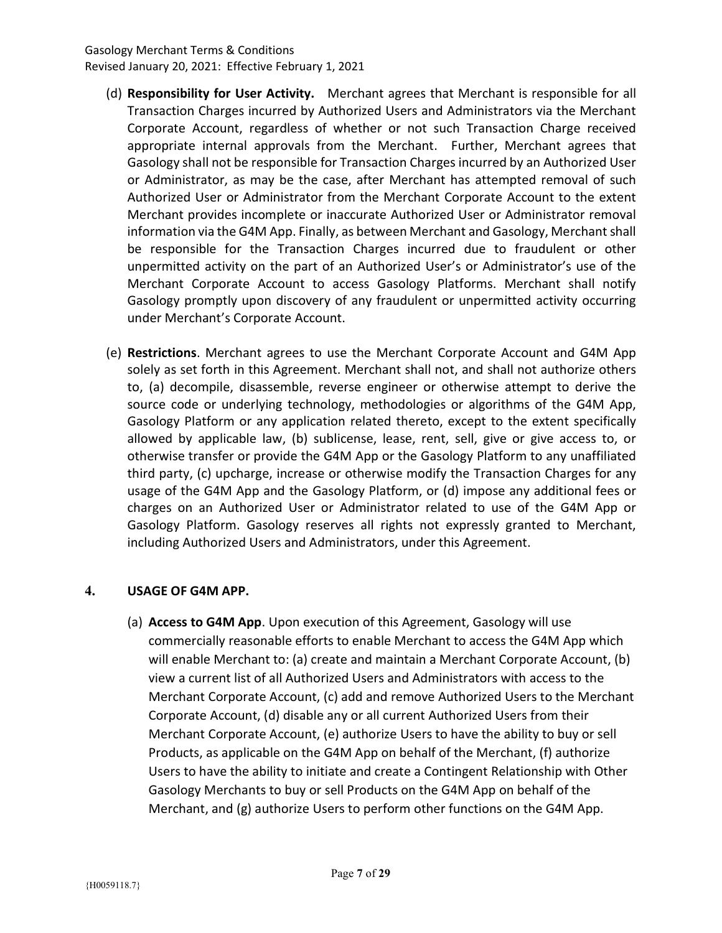- (d) Responsibility for User Activity. Merchant agrees that Merchant is responsible for all Transaction Charges incurred by Authorized Users and Administrators via the Merchant Corporate Account, regardless of whether or not such Transaction Charge received appropriate internal approvals from the Merchant. Further, Merchant agrees that Gasology shall not be responsible for Transaction Charges incurred by an Authorized User or Administrator, as may be the case, after Merchant has attempted removal of such Authorized User or Administrator from the Merchant Corporate Account to the extent Merchant provides incomplete or inaccurate Authorized User or Administrator removal information via the G4M App. Finally, as between Merchant and Gasology, Merchant shall be responsible for the Transaction Charges incurred due to fraudulent or other unpermitted activity on the part of an Authorized User's or Administrator's use of the Merchant Corporate Account to access Gasology Platforms. Merchant shall notify Gasology promptly upon discovery of any fraudulent or unpermitted activity occurring under Merchant's Corporate Account.
- (e) Restrictions. Merchant agrees to use the Merchant Corporate Account and G4M App solely as set forth in this Agreement. Merchant shall not, and shall not authorize others to, (a) decompile, disassemble, reverse engineer or otherwise attempt to derive the source code or underlying technology, methodologies or algorithms of the G4M App, Gasology Platform or any application related thereto, except to the extent specifically allowed by applicable law, (b) sublicense, lease, rent, sell, give or give access to, or otherwise transfer or provide the G4M App or the Gasology Platform to any unaffiliated third party, (c) upcharge, increase or otherwise modify the Transaction Charges for any usage of the G4M App and the Gasology Platform, or (d) impose any additional fees or charges on an Authorized User or Administrator related to use of the G4M App or Gasology Platform. Gasology reserves all rights not expressly granted to Merchant, including Authorized Users and Administrators, under this Agreement.

### 4. USAGE OF G4M APP.

(a) Access to G4M App. Upon execution of this Agreement, Gasology will use commercially reasonable efforts to enable Merchant to access the G4M App which will enable Merchant to: (a) create and maintain a Merchant Corporate Account, (b) view a current list of all Authorized Users and Administrators with access to the Merchant Corporate Account, (c) add and remove Authorized Users to the Merchant Corporate Account, (d) disable any or all current Authorized Users from their Merchant Corporate Account, (e) authorize Users to have the ability to buy or sell Products, as applicable on the G4M App on behalf of the Merchant, (f) authorize Users to have the ability to initiate and create a Contingent Relationship with Other Gasology Merchants to buy or sell Products on the G4M App on behalf of the Merchant, and (g) authorize Users to perform other functions on the G4M App.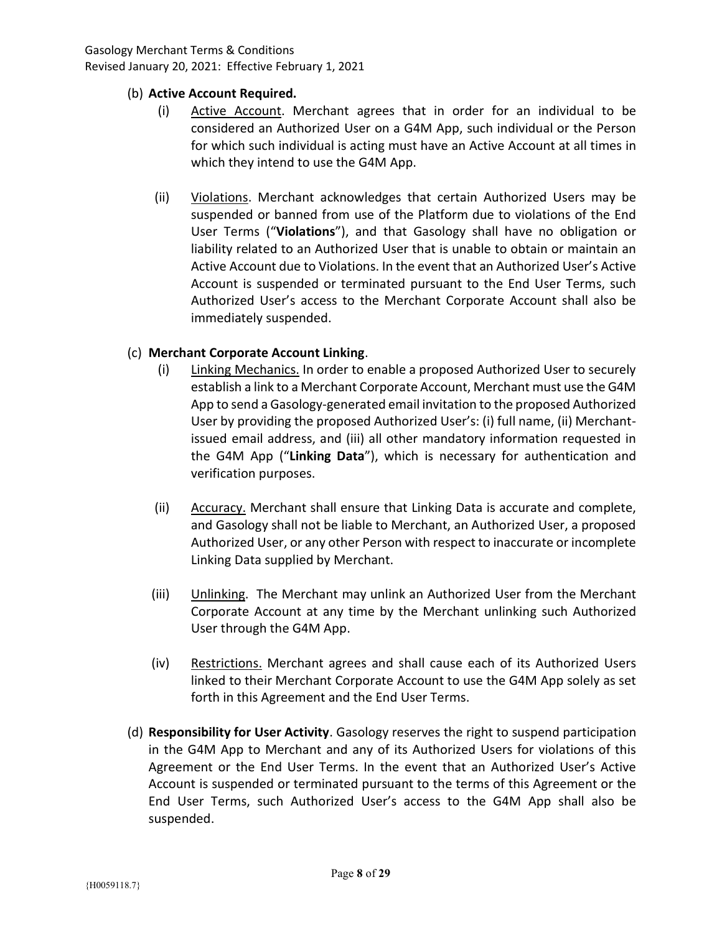### (b) Active Account Required.

- (i) Active Account. Merchant agrees that in order for an individual to be considered an Authorized User on a G4M App, such individual or the Person for which such individual is acting must have an Active Account at all times in which they intend to use the G4M App.
- (ii) Violations. Merchant acknowledges that certain Authorized Users may be suspended or banned from use of the Platform due to violations of the End User Terms ("Violations"), and that Gasology shall have no obligation or liability related to an Authorized User that is unable to obtain or maintain an Active Account due to Violations. In the event that an Authorized User's Active Account is suspended or terminated pursuant to the End User Terms, such Authorized User's access to the Merchant Corporate Account shall also be immediately suspended.

## (c) Merchant Corporate Account Linking.

- (i) Linking Mechanics. In order to enable a proposed Authorized User to securely establish a link to a Merchant Corporate Account, Merchant must use the G4M App to send a Gasology-generated email invitation to the proposed Authorized User by providing the proposed Authorized User's: (i) full name, (ii) Merchantissued email address, and (iii) all other mandatory information requested in the G4M App ("Linking Data"), which is necessary for authentication and verification purposes.
- (ii) Accuracy. Merchant shall ensure that Linking Data is accurate and complete, and Gasology shall not be liable to Merchant, an Authorized User, a proposed Authorized User, or any other Person with respect to inaccurate or incomplete Linking Data supplied by Merchant.
- (iii) Unlinking. The Merchant may unlink an Authorized User from the Merchant Corporate Account at any time by the Merchant unlinking such Authorized User through the G4M App.
- (iv) Restrictions. Merchant agrees and shall cause each of its Authorized Users linked to their Merchant Corporate Account to use the G4M App solely as set forth in this Agreement and the End User Terms.
- (d) Responsibility for User Activity. Gasology reserves the right to suspend participation in the G4M App to Merchant and any of its Authorized Users for violations of this Agreement or the End User Terms. In the event that an Authorized User's Active Account is suspended or terminated pursuant to the terms of this Agreement or the End User Terms, such Authorized User's access to the G4M App shall also be suspended.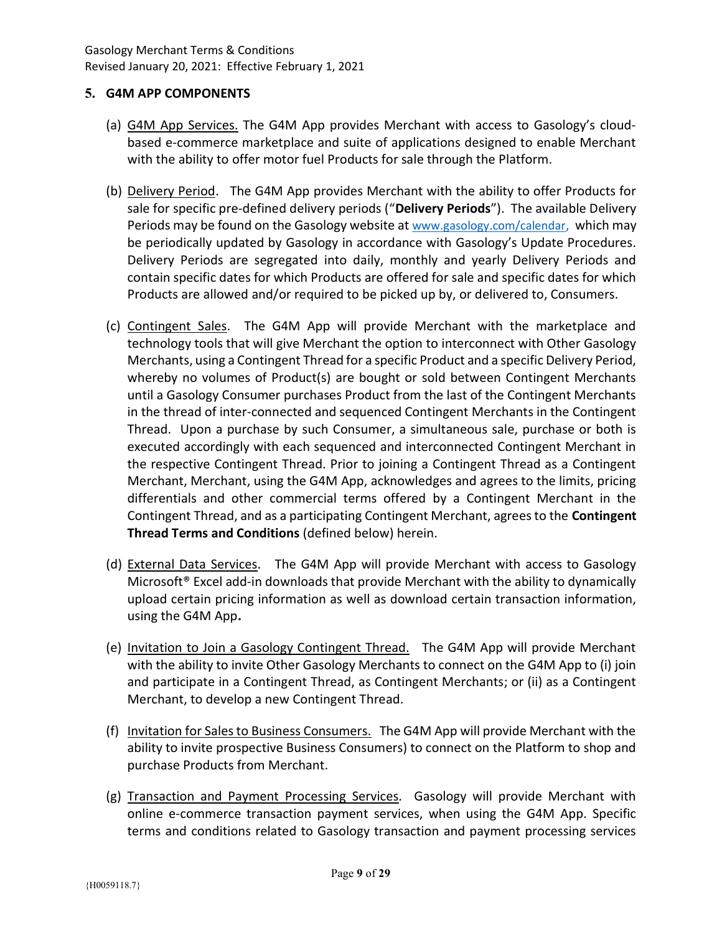## 5. G4M APP COMPONENTS

- (a) G4M App Services. The G4M App provides Merchant with access to Gasology's cloudbased e-commerce marketplace and suite of applications designed to enable Merchant with the ability to offer motor fuel Products for sale through the Platform.
- (b) Delivery Period. The G4M App provides Merchant with the ability to offer Products for sale for specific pre-defined delivery periods ("Delivery Periods"). The available Delivery Periods may be found on the Gasology website at www.gasology.com/calendar, which may be periodically updated by Gasology in accordance with Gasology's Update Procedures. Delivery Periods are segregated into daily, monthly and yearly Delivery Periods and contain specific dates for which Products are offered for sale and specific dates for which Products are allowed and/or required to be picked up by, or delivered to, Consumers.
- (c) Contingent Sales. The G4M App will provide Merchant with the marketplace and technology tools that will give Merchant the option to interconnect with Other Gasology Merchants, using a Contingent Thread for a specific Product and a specific Delivery Period, whereby no volumes of Product(s) are bought or sold between Contingent Merchants until a Gasology Consumer purchases Product from the last of the Contingent Merchants in the thread of inter-connected and sequenced Contingent Merchants in the Contingent Thread. Upon a purchase by such Consumer, a simultaneous sale, purchase or both is executed accordingly with each sequenced and interconnected Contingent Merchant in the respective Contingent Thread. Prior to joining a Contingent Thread as a Contingent Merchant, Merchant, using the G4M App, acknowledges and agrees to the limits, pricing differentials and other commercial terms offered by a Contingent Merchant in the Contingent Thread, and as a participating Contingent Merchant, agrees to the Contingent Thread Terms and Conditions (defined below) herein.
- (d) External Data Services. The G4M App will provide Merchant with access to Gasology Microsoft® Excel add-in downloads that provide Merchant with the ability to dynamically upload certain pricing information as well as download certain transaction information, using the G4M App.
- (e) Invitation to Join a Gasology Contingent Thread. The G4M App will provide Merchant with the ability to invite Other Gasology Merchants to connect on the G4M App to (i) join and participate in a Contingent Thread, as Contingent Merchants; or (ii) as a Contingent Merchant, to develop a new Contingent Thread.
- (f) Invitation for Sales to Business Consumers. The G4M App will provide Merchant with the ability to invite prospective Business Consumers) to connect on the Platform to shop and purchase Products from Merchant.
- (g) Transaction and Payment Processing Services. Gasology will provide Merchant with online e-commerce transaction payment services, when using the G4M App. Specific terms and conditions related to Gasology transaction and payment processing services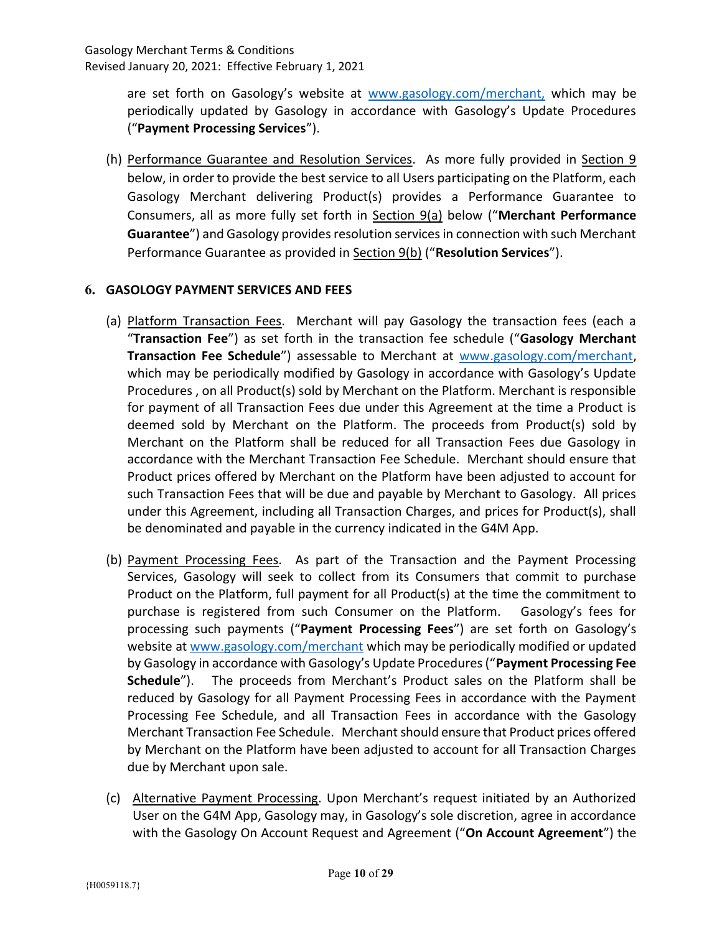are set forth on Gasology's website at www.gasology.com/merchant, which may be periodically updated by Gasology in accordance with Gasology's Update Procedures ("Payment Processing Services").

(h) Performance Guarantee and Resolution Services. As more fully provided in Section 9 below, in order to provide the best service to all Users participating on the Platform, each Gasology Merchant delivering Product(s) provides a Performance Guarantee to Consumers, all as more fully set forth in Section 9(a) below ("Merchant Performance Guarantee") and Gasology provides resolution services in connection with such Merchant Performance Guarantee as provided in Section 9(b) ("Resolution Services").

# 6. GASOLOGY PAYMENT SERVICES AND FEES

- (a) Platform Transaction Fees. Merchant will pay Gasology the transaction fees (each a "Transaction Fee") as set forth in the transaction fee schedule ("Gasology Merchant Transaction Fee Schedule") assessable to Merchant at www.gasology.com/merchant, which may be periodically modified by Gasology in accordance with Gasology's Update Procedures , on all Product(s) sold by Merchant on the Platform. Merchant is responsible for payment of all Transaction Fees due under this Agreement at the time a Product is deemed sold by Merchant on the Platform. The proceeds from Product(s) sold by Merchant on the Platform shall be reduced for all Transaction Fees due Gasology in accordance with the Merchant Transaction Fee Schedule. Merchant should ensure that Product prices offered by Merchant on the Platform have been adjusted to account for such Transaction Fees that will be due and payable by Merchant to Gasology. All prices under this Agreement, including all Transaction Charges, and prices for Product(s), shall be denominated and payable in the currency indicated in the G4M App.
- (b) Payment Processing Fees. As part of the Transaction and the Payment Processing Services, Gasology will seek to collect from its Consumers that commit to purchase Product on the Platform, full payment for all Product(s) at the time the commitment to purchase is registered from such Consumer on the Platform. Gasology's fees for processing such payments ("Payment Processing Fees") are set forth on Gasology's website at www.gasology.com/merchant which may be periodically modified or updated by Gasology in accordance with Gasology's Update Procedures ("Payment Processing Fee Schedule"). The proceeds from Merchant's Product sales on the Platform shall be reduced by Gasology for all Payment Processing Fees in accordance with the Payment Processing Fee Schedule, and all Transaction Fees in accordance with the Gasology Merchant Transaction Fee Schedule. Merchant should ensure that Product prices offered by Merchant on the Platform have been adjusted to account for all Transaction Charges due by Merchant upon sale.
- (c) Alternative Payment Processing. Upon Merchant's request initiated by an Authorized User on the G4M App, Gasology may, in Gasology's sole discretion, agree in accordance with the Gasology On Account Request and Agreement ("On Account Agreement") the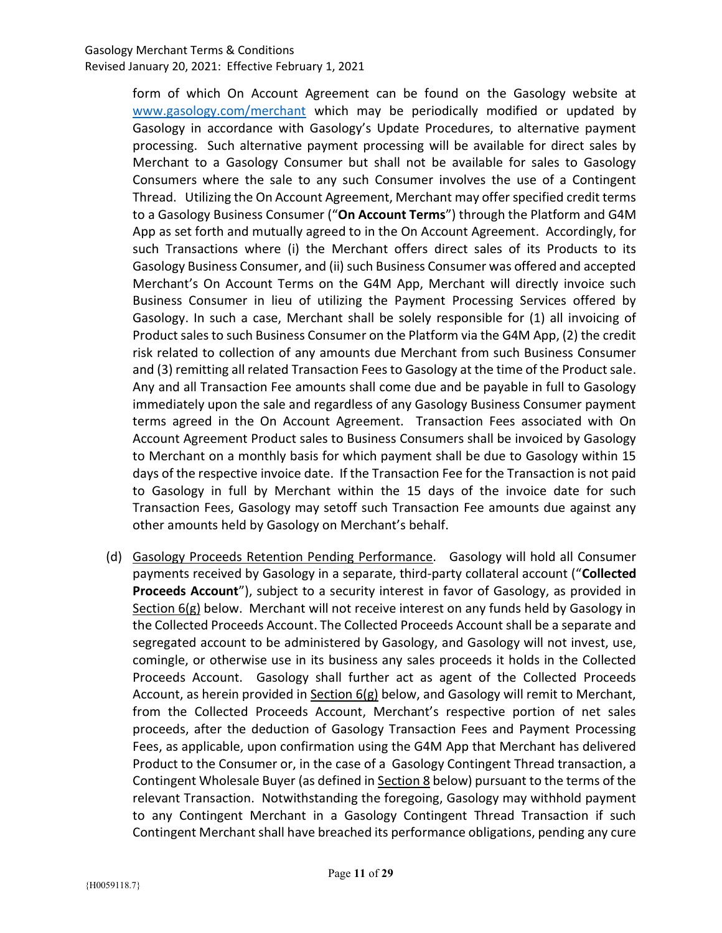form of which On Account Agreement can be found on the Gasology website at www.gasology.com/merchant which may be periodically modified or updated by Gasology in accordance with Gasology's Update Procedures, to alternative payment processing. Such alternative payment processing will be available for direct sales by Merchant to a Gasology Consumer but shall not be available for sales to Gasology Consumers where the sale to any such Consumer involves the use of a Contingent Thread. Utilizing the On Account Agreement, Merchant may offer specified credit terms to a Gasology Business Consumer ("On Account Terms") through the Platform and G4M App as set forth and mutually agreed to in the On Account Agreement. Accordingly, for such Transactions where (i) the Merchant offers direct sales of its Products to its Gasology Business Consumer, and (ii) such Business Consumer was offered and accepted Merchant's On Account Terms on the G4M App, Merchant will directly invoice such Business Consumer in lieu of utilizing the Payment Processing Services offered by Gasology. In such a case, Merchant shall be solely responsible for (1) all invoicing of Product sales to such Business Consumer on the Platform via the G4M App, (2) the credit risk related to collection of any amounts due Merchant from such Business Consumer and (3) remitting all related Transaction Fees to Gasology at the time of the Product sale. Any and all Transaction Fee amounts shall come due and be payable in full to Gasology immediately upon the sale and regardless of any Gasology Business Consumer payment terms agreed in the On Account Agreement. Transaction Fees associated with On Account Agreement Product sales to Business Consumers shall be invoiced by Gasology to Merchant on a monthly basis for which payment shall be due to Gasology within 15 days of the respective invoice date. If the Transaction Fee for the Transaction is not paid to Gasology in full by Merchant within the 15 days of the invoice date for such Transaction Fees, Gasology may setoff such Transaction Fee amounts due against any other amounts held by Gasology on Merchant's behalf.

(d) Gasology Proceeds Retention Pending Performance. Gasology will hold all Consumer payments received by Gasology in a separate, third-party collateral account ("Collected Proceeds Account"), subject to a security interest in favor of Gasology, as provided in Section 6(g) below. Merchant will not receive interest on any funds held by Gasology in the Collected Proceeds Account. The Collected Proceeds Account shall be a separate and segregated account to be administered by Gasology, and Gasology will not invest, use, comingle, or otherwise use in its business any sales proceeds it holds in the Collected Proceeds Account. Gasology shall further act as agent of the Collected Proceeds Account, as herein provided in Section 6(g) below, and Gasology will remit to Merchant, from the Collected Proceeds Account, Merchant's respective portion of net sales proceeds, after the deduction of Gasology Transaction Fees and Payment Processing Fees, as applicable, upon confirmation using the G4M App that Merchant has delivered Product to the Consumer or, in the case of a Gasology Contingent Thread transaction, a Contingent Wholesale Buyer (as defined in Section 8 below) pursuant to the terms of the relevant Transaction. Notwithstanding the foregoing, Gasology may withhold payment to any Contingent Merchant in a Gasology Contingent Thread Transaction if such Contingent Merchant shall have breached its performance obligations, pending any cure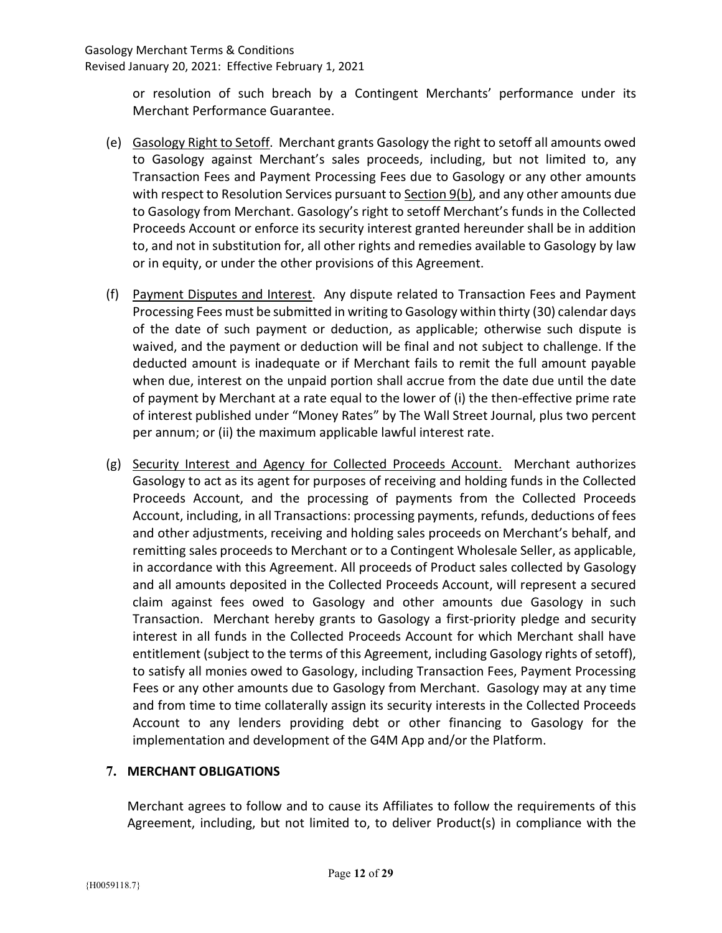or resolution of such breach by a Contingent Merchants' performance under its Merchant Performance Guarantee.

- (e) Gasology Right to Setoff. Merchant grants Gasology the right to setoff all amounts owed to Gasology against Merchant's sales proceeds, including, but not limited to, any Transaction Fees and Payment Processing Fees due to Gasology or any other amounts with respect to Resolution Services pursuant to Section 9(b), and any other amounts due to Gasology from Merchant. Gasology's right to setoff Merchant's funds in the Collected Proceeds Account or enforce its security interest granted hereunder shall be in addition to, and not in substitution for, all other rights and remedies available to Gasology by law or in equity, or under the other provisions of this Agreement.
- (f) Payment Disputes and Interest. Any dispute related to Transaction Fees and Payment Processing Fees must be submitted in writing to Gasology within thirty (30) calendar days of the date of such payment or deduction, as applicable; otherwise such dispute is waived, and the payment or deduction will be final and not subject to challenge. If the deducted amount is inadequate or if Merchant fails to remit the full amount payable when due, interest on the unpaid portion shall accrue from the date due until the date of payment by Merchant at a rate equal to the lower of (i) the then-effective prime rate of interest published under "Money Rates" by The Wall Street Journal, plus two percent per annum; or (ii) the maximum applicable lawful interest rate.
- (g) Security Interest and Agency for Collected Proceeds Account. Merchant authorizes Gasology to act as its agent for purposes of receiving and holding funds in the Collected Proceeds Account, and the processing of payments from the Collected Proceeds Account, including, in all Transactions: processing payments, refunds, deductions of fees and other adjustments, receiving and holding sales proceeds on Merchant's behalf, and remitting sales proceeds to Merchant or to a Contingent Wholesale Seller, as applicable, in accordance with this Agreement. All proceeds of Product sales collected by Gasology and all amounts deposited in the Collected Proceeds Account, will represent a secured claim against fees owed to Gasology and other amounts due Gasology in such Transaction. Merchant hereby grants to Gasology a first-priority pledge and security interest in all funds in the Collected Proceeds Account for which Merchant shall have entitlement (subject to the terms of this Agreement, including Gasology rights of setoff), to satisfy all monies owed to Gasology, including Transaction Fees, Payment Processing Fees or any other amounts due to Gasology from Merchant. Gasology may at any time and from time to time collaterally assign its security interests in the Collected Proceeds Account to any lenders providing debt or other financing to Gasology for the implementation and development of the G4M App and/or the Platform.

# 7. MERCHANT OBLIGATIONS

Merchant agrees to follow and to cause its Affiliates to follow the requirements of this Agreement, including, but not limited to, to deliver Product(s) in compliance with the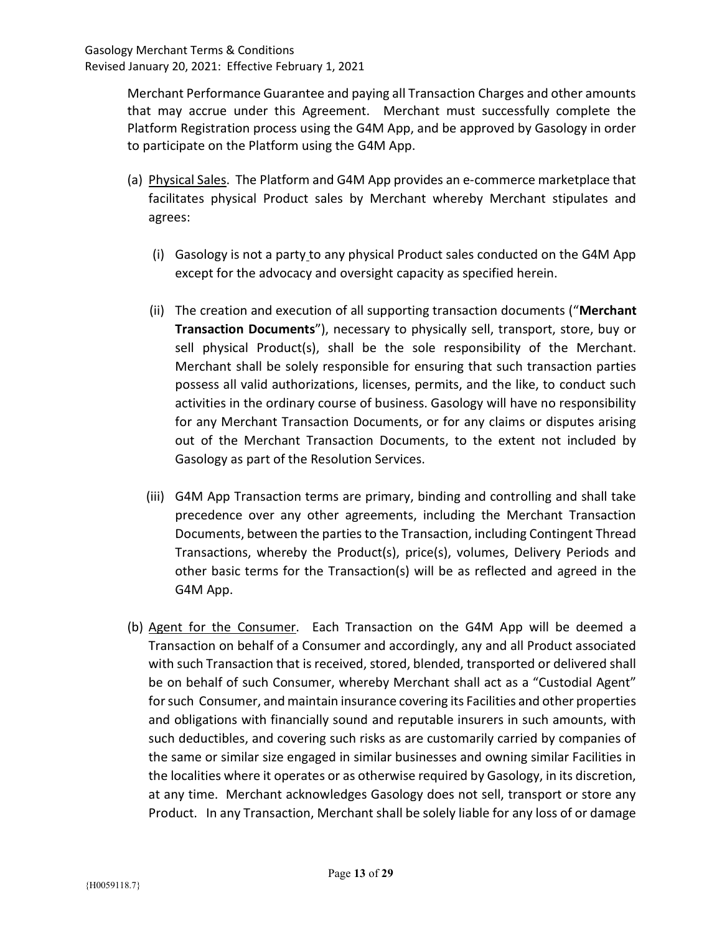Merchant Performance Guarantee and paying all Transaction Charges and other amounts that may accrue under this Agreement. Merchant must successfully complete the Platform Registration process using the G4M App, and be approved by Gasology in order to participate on the Platform using the G4M App.

- (a) Physical Sales. The Platform and G4M App provides an e-commerce marketplace that facilitates physical Product sales by Merchant whereby Merchant stipulates and agrees:
	- (i) Gasology is not a party to any physical Product sales conducted on the G4M App except for the advocacy and oversight capacity as specified herein.
	- (ii) The creation and execution of all supporting transaction documents ("Merchant Transaction Documents"), necessary to physically sell, transport, store, buy or sell physical Product(s), shall be the sole responsibility of the Merchant. Merchant shall be solely responsible for ensuring that such transaction parties possess all valid authorizations, licenses, permits, and the like, to conduct such activities in the ordinary course of business. Gasology will have no responsibility for any Merchant Transaction Documents, or for any claims or disputes arising out of the Merchant Transaction Documents, to the extent not included by Gasology as part of the Resolution Services.
	- (iii) G4M App Transaction terms are primary, binding and controlling and shall take precedence over any other agreements, including the Merchant Transaction Documents, between the parties to the Transaction, including Contingent Thread Transactions, whereby the Product(s), price(s), volumes, Delivery Periods and other basic terms for the Transaction(s) will be as reflected and agreed in the G4M App.
- (b) Agent for the Consumer. Each Transaction on the G4M App will be deemed a Transaction on behalf of a Consumer and accordingly, any and all Product associated with such Transaction that is received, stored, blended, transported or delivered shall be on behalf of such Consumer, whereby Merchant shall act as a "Custodial Agent" for such Consumer, and maintain insurance covering its Facilities and other properties and obligations with financially sound and reputable insurers in such amounts, with such deductibles, and covering such risks as are customarily carried by companies of the same or similar size engaged in similar businesses and owning similar Facilities in the localities where it operates or as otherwise required by Gasology, in its discretion, at any time. Merchant acknowledges Gasology does not sell, transport or store any Product. In any Transaction, Merchant shall be solely liable for any loss of or damage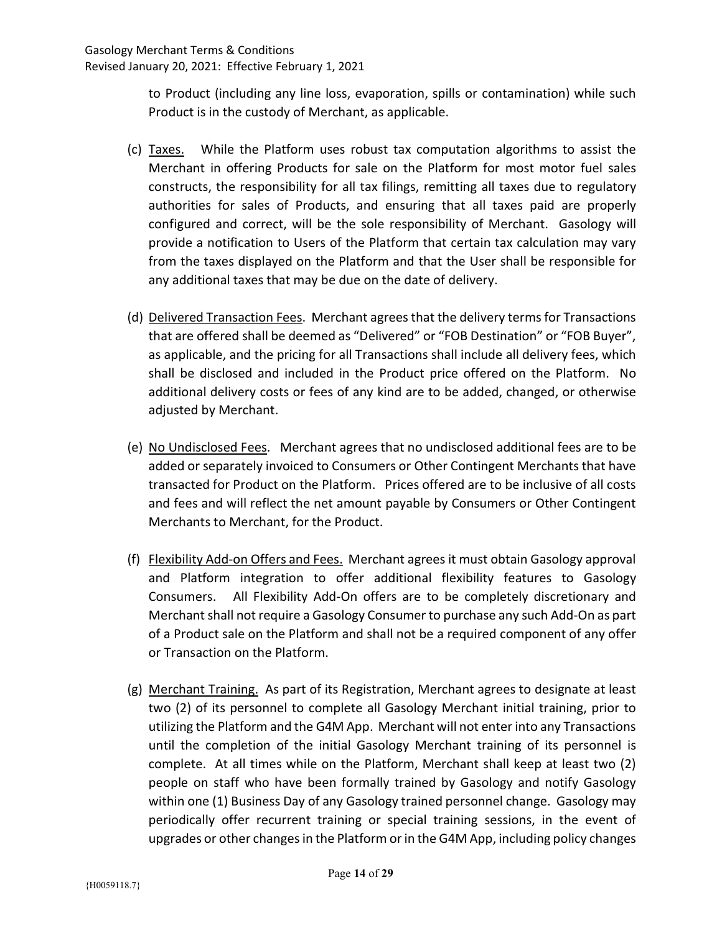to Product (including any line loss, evaporation, spills or contamination) while such Product is in the custody of Merchant, as applicable.

- (c) Taxes. While the Platform uses robust tax computation algorithms to assist the Merchant in offering Products for sale on the Platform for most motor fuel sales constructs, the responsibility for all tax filings, remitting all taxes due to regulatory authorities for sales of Products, and ensuring that all taxes paid are properly configured and correct, will be the sole responsibility of Merchant. Gasology will provide a notification to Users of the Platform that certain tax calculation may vary from the taxes displayed on the Platform and that the User shall be responsible for any additional taxes that may be due on the date of delivery.
- (d) Delivered Transaction Fees. Merchant agrees that the delivery terms for Transactions that are offered shall be deemed as "Delivered" or "FOB Destination" or "FOB Buyer", as applicable, and the pricing for all Transactions shall include all delivery fees, which shall be disclosed and included in the Product price offered on the Platform. No additional delivery costs or fees of any kind are to be added, changed, or otherwise adjusted by Merchant.
- (e) No Undisclosed Fees. Merchant agrees that no undisclosed additional fees are to be added or separately invoiced to Consumers or Other Contingent Merchants that have transacted for Product on the Platform. Prices offered are to be inclusive of all costs and fees and will reflect the net amount payable by Consumers or Other Contingent Merchants to Merchant, for the Product.
- (f) Flexibility Add-on Offers and Fees. Merchant agrees it must obtain Gasology approval and Platform integration to offer additional flexibility features to Gasology Consumers. All Flexibility Add-On offers are to be completely discretionary and Merchant shall not require a Gasology Consumer to purchase any such Add-On as part of a Product sale on the Platform and shall not be a required component of any offer or Transaction on the Platform.
- (g) Merchant Training. As part of its Registration, Merchant agrees to designate at least two (2) of its personnel to complete all Gasology Merchant initial training, prior to utilizing the Platform and the G4M App. Merchant will not enter into any Transactions until the completion of the initial Gasology Merchant training of its personnel is complete. At all times while on the Platform, Merchant shall keep at least two (2) people on staff who have been formally trained by Gasology and notify Gasology within one (1) Business Day of any Gasology trained personnel change. Gasology may periodically offer recurrent training or special training sessions, in the event of upgrades or other changes in the Platform or in the G4M App, including policy changes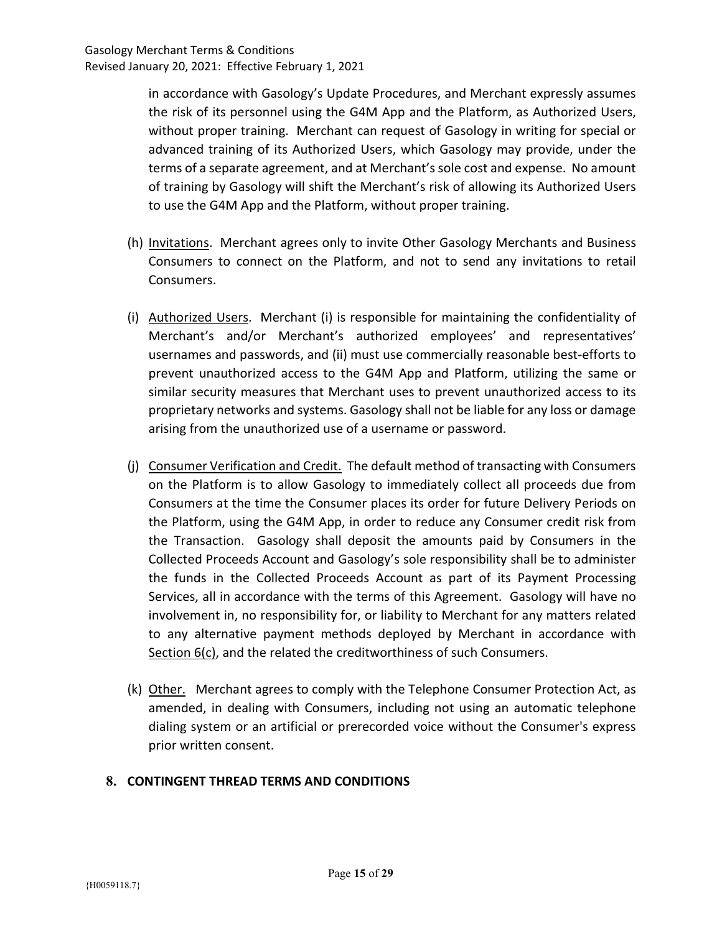in accordance with Gasology's Update Procedures, and Merchant expressly assumes the risk of its personnel using the G4M App and the Platform, as Authorized Users, without proper training. Merchant can request of Gasology in writing for special or advanced training of its Authorized Users, which Gasology may provide, under the terms of a separate agreement, and at Merchant's sole cost and expense. No amount of training by Gasology will shift the Merchant's risk of allowing its Authorized Users to use the G4M App and the Platform, without proper training.

- (h) Invitations. Merchant agrees only to invite Other Gasology Merchants and Business Consumers to connect on the Platform, and not to send any invitations to retail Consumers.
- (i) Authorized Users. Merchant (i) is responsible for maintaining the confidentiality of Merchant's and/or Merchant's authorized employees' and representatives' usernames and passwords, and (ii) must use commercially reasonable best-efforts to prevent unauthorized access to the G4M App and Platform, utilizing the same or similar security measures that Merchant uses to prevent unauthorized access to its proprietary networks and systems. Gasology shall not be liable for any loss or damage arising from the unauthorized use of a username or password.
- (j) Consumer Verification and Credit. The default method of transacting with Consumers on the Platform is to allow Gasology to immediately collect all proceeds due from Consumers at the time the Consumer places its order for future Delivery Periods on the Platform, using the G4M App, in order to reduce any Consumer credit risk from the Transaction. Gasology shall deposit the amounts paid by Consumers in the Collected Proceeds Account and Gasology's sole responsibility shall be to administer the funds in the Collected Proceeds Account as part of its Payment Processing Services, all in accordance with the terms of this Agreement. Gasology will have no involvement in, no responsibility for, or liability to Merchant for any matters related to any alternative payment methods deployed by Merchant in accordance with Section 6(c), and the related the creditworthiness of such Consumers.
- (k) Other. Merchant agrees to comply with the Telephone Consumer Protection Act, as amended, in dealing with Consumers, including not using an automatic telephone dialing system or an artificial or prerecorded voice without the Consumer's express prior written consent.

# 8. CONTINGENT THREAD TERMS AND CONDITIONS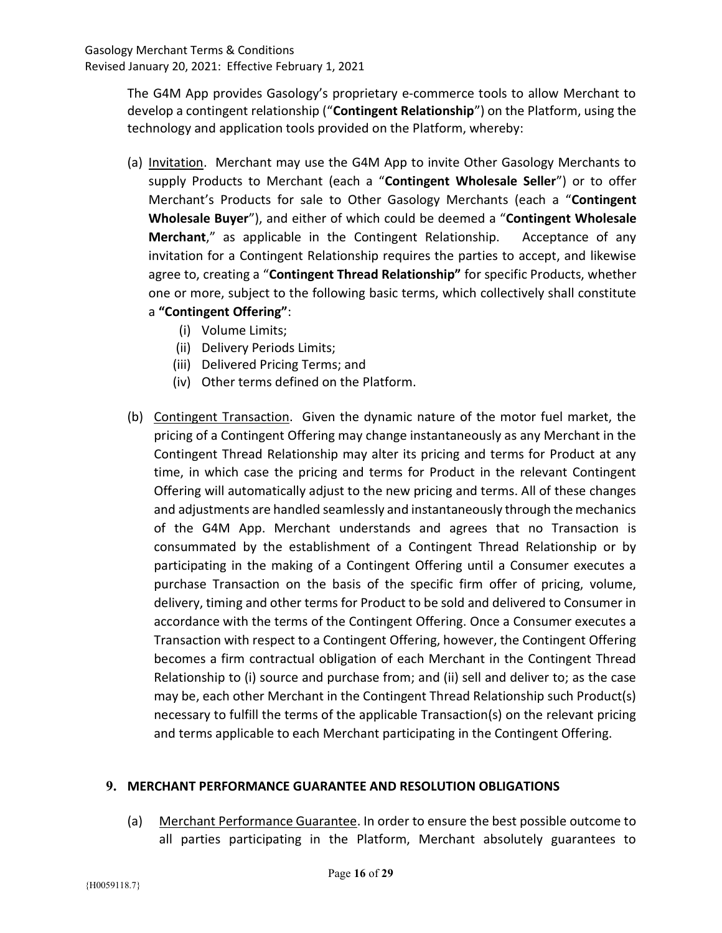The G4M App provides Gasology's proprietary e-commerce tools to allow Merchant to develop a contingent relationship ("Contingent Relationship") on the Platform, using the technology and application tools provided on the Platform, whereby:

- (a) Invitation. Merchant may use the G4M App to invite Other Gasology Merchants to supply Products to Merchant (each a "Contingent Wholesale Seller") or to offer Merchant's Products for sale to Other Gasology Merchants (each a "Contingent Wholesale Buyer"), and either of which could be deemed a "Contingent Wholesale Merchant," as applicable in the Contingent Relationship. Acceptance of any invitation for a Contingent Relationship requires the parties to accept, and likewise agree to, creating a "Contingent Thread Relationship" for specific Products, whether one or more, subject to the following basic terms, which collectively shall constitute a "Contingent Offering":
	- (i) Volume Limits;
	- (ii) Delivery Periods Limits;
	- (iii) Delivered Pricing Terms; and
	- (iv) Other terms defined on the Platform.
- (b) Contingent Transaction. Given the dynamic nature of the motor fuel market, the pricing of a Contingent Offering may change instantaneously as any Merchant in the Contingent Thread Relationship may alter its pricing and terms for Product at any time, in which case the pricing and terms for Product in the relevant Contingent Offering will automatically adjust to the new pricing and terms. All of these changes and adjustments are handled seamlessly and instantaneously through the mechanics of the G4M App. Merchant understands and agrees that no Transaction is consummated by the establishment of a Contingent Thread Relationship or by participating in the making of a Contingent Offering until a Consumer executes a purchase Transaction on the basis of the specific firm offer of pricing, volume, delivery, timing and other terms for Product to be sold and delivered to Consumer in accordance with the terms of the Contingent Offering. Once a Consumer executes a Transaction with respect to a Contingent Offering, however, the Contingent Offering becomes a firm contractual obligation of each Merchant in the Contingent Thread Relationship to (i) source and purchase from; and (ii) sell and deliver to; as the case may be, each other Merchant in the Contingent Thread Relationship such Product(s) necessary to fulfill the terms of the applicable Transaction(s) on the relevant pricing and terms applicable to each Merchant participating in the Contingent Offering.

### 9. MERCHANT PERFORMANCE GUARANTEE AND RESOLUTION OBLIGATIONS

(a) Merchant Performance Guarantee. In order to ensure the best possible outcome to all parties participating in the Platform, Merchant absolutely guarantees to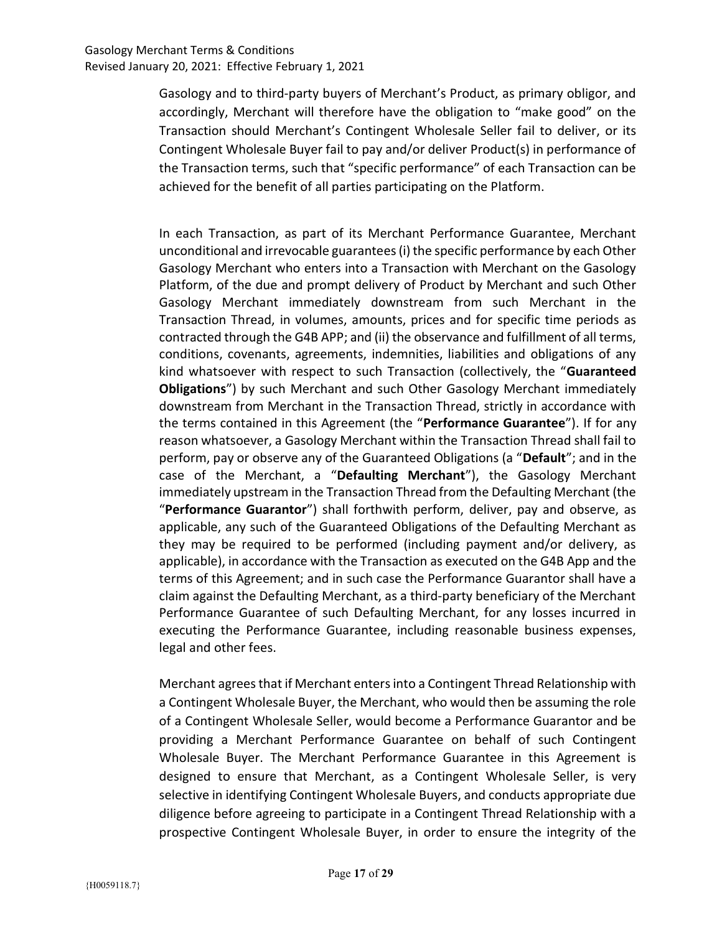Gasology and to third-party buyers of Merchant's Product, as primary obligor, and accordingly, Merchant will therefore have the obligation to "make good" on the Transaction should Merchant's Contingent Wholesale Seller fail to deliver, or its Contingent Wholesale Buyer fail to pay and/or deliver Product(s) in performance of the Transaction terms, such that "specific performance" of each Transaction can be achieved for the benefit of all parties participating on the Platform.

In each Transaction, as part of its Merchant Performance Guarantee, Merchant unconditional and irrevocable guarantees (i) the specific performance by each Other Gasology Merchant who enters into a Transaction with Merchant on the Gasology Platform, of the due and prompt delivery of Product by Merchant and such Other Gasology Merchant immediately downstream from such Merchant in the Transaction Thread, in volumes, amounts, prices and for specific time periods as contracted through the G4B APP; and (ii) the observance and fulfillment of all terms, conditions, covenants, agreements, indemnities, liabilities and obligations of any kind whatsoever with respect to such Transaction (collectively, the "Guaranteed Obligations") by such Merchant and such Other Gasology Merchant immediately downstream from Merchant in the Transaction Thread, strictly in accordance with the terms contained in this Agreement (the "Performance Guarantee"). If for any reason whatsoever, a Gasology Merchant within the Transaction Thread shall fail to perform, pay or observe any of the Guaranteed Obligations (a "Default"; and in the case of the Merchant, a "Defaulting Merchant"), the Gasology Merchant immediately upstream in the Transaction Thread from the Defaulting Merchant (the "Performance Guarantor") shall forthwith perform, deliver, pay and observe, as applicable, any such of the Guaranteed Obligations of the Defaulting Merchant as they may be required to be performed (including payment and/or delivery, as applicable), in accordance with the Transaction as executed on the G4B App and the terms of this Agreement; and in such case the Performance Guarantor shall have a claim against the Defaulting Merchant, as a third-party beneficiary of the Merchant Performance Guarantee of such Defaulting Merchant, for any losses incurred in executing the Performance Guarantee, including reasonable business expenses, legal and other fees.

Merchant agrees that if Merchant enters into a Contingent Thread Relationship with a Contingent Wholesale Buyer, the Merchant, who would then be assuming the role of a Contingent Wholesale Seller, would become a Performance Guarantor and be providing a Merchant Performance Guarantee on behalf of such Contingent Wholesale Buyer. The Merchant Performance Guarantee in this Agreement is designed to ensure that Merchant, as a Contingent Wholesale Seller, is very selective in identifying Contingent Wholesale Buyers, and conducts appropriate due diligence before agreeing to participate in a Contingent Thread Relationship with a prospective Contingent Wholesale Buyer, in order to ensure the integrity of the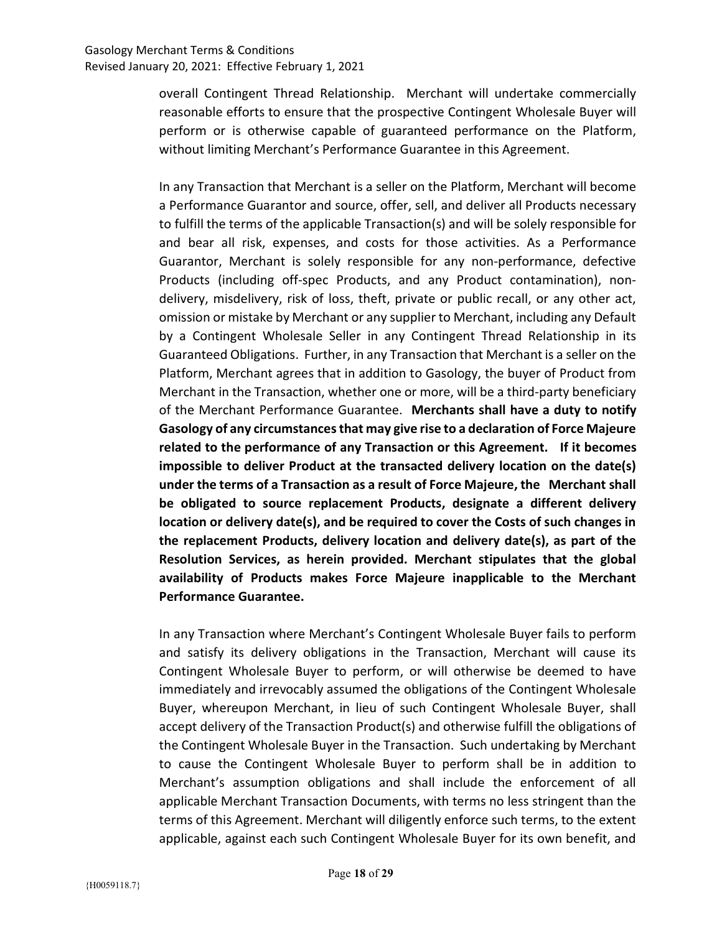overall Contingent Thread Relationship. Merchant will undertake commercially reasonable efforts to ensure that the prospective Contingent Wholesale Buyer will perform or is otherwise capable of guaranteed performance on the Platform, without limiting Merchant's Performance Guarantee in this Agreement.

In any Transaction that Merchant is a seller on the Platform, Merchant will become a Performance Guarantor and source, offer, sell, and deliver all Products necessary to fulfill the terms of the applicable Transaction(s) and will be solely responsible for and bear all risk, expenses, and costs for those activities. As a Performance Guarantor, Merchant is solely responsible for any non-performance, defective Products (including off-spec Products, and any Product contamination), nondelivery, misdelivery, risk of loss, theft, private or public recall, or any other act, omission or mistake by Merchant or any supplier to Merchant, including any Default by a Contingent Wholesale Seller in any Contingent Thread Relationship in its Guaranteed Obligations. Further, in any Transaction that Merchant is a seller on the Platform, Merchant agrees that in addition to Gasology, the buyer of Product from Merchant in the Transaction, whether one or more, will be a third-party beneficiary of the Merchant Performance Guarantee. Merchants shall have a duty to notify Gasology of any circumstances that may give rise to a declaration of Force Majeure related to the performance of any Transaction or this Agreement. If it becomes impossible to deliver Product at the transacted delivery location on the date(s) under the terms of a Transaction as a result of Force Majeure, the Merchant shall be obligated to source replacement Products, designate a different delivery location or delivery date(s), and be required to cover the Costs of such changes in the replacement Products, delivery location and delivery date(s), as part of the Resolution Services, as herein provided. Merchant stipulates that the global availability of Products makes Force Majeure inapplicable to the Merchant Performance Guarantee.

In any Transaction where Merchant's Contingent Wholesale Buyer fails to perform and satisfy its delivery obligations in the Transaction, Merchant will cause its Contingent Wholesale Buyer to perform, or will otherwise be deemed to have immediately and irrevocably assumed the obligations of the Contingent Wholesale Buyer, whereupon Merchant, in lieu of such Contingent Wholesale Buyer, shall accept delivery of the Transaction Product(s) and otherwise fulfill the obligations of the Contingent Wholesale Buyer in the Transaction. Such undertaking by Merchant to cause the Contingent Wholesale Buyer to perform shall be in addition to Merchant's assumption obligations and shall include the enforcement of all applicable Merchant Transaction Documents, with terms no less stringent than the terms of this Agreement. Merchant will diligently enforce such terms, to the extent applicable, against each such Contingent Wholesale Buyer for its own benefit, and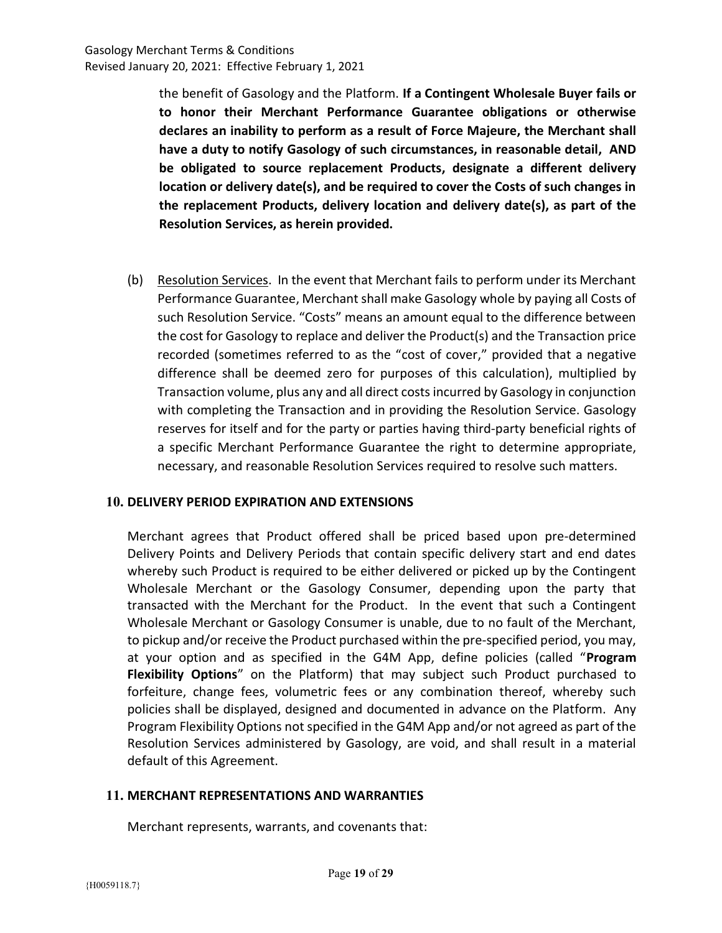the benefit of Gasology and the Platform. If a Contingent Wholesale Buyer fails or to honor their Merchant Performance Guarantee obligations or otherwise declares an inability to perform as a result of Force Majeure, the Merchant shall have a duty to notify Gasology of such circumstances, in reasonable detail, AND be obligated to source replacement Products, designate a different delivery location or delivery date(s), and be required to cover the Costs of such changes in the replacement Products, delivery location and delivery date(s), as part of the Resolution Services, as herein provided.

(b) Resolution Services. In the event that Merchant fails to perform under its Merchant Performance Guarantee, Merchant shall make Gasology whole by paying all Costs of such Resolution Service. "Costs" means an amount equal to the difference between the cost for Gasology to replace and deliver the Product(s) and the Transaction price recorded (sometimes referred to as the "cost of cover," provided that a negative difference shall be deemed zero for purposes of this calculation), multiplied by Transaction volume, plus any and all direct costs incurred by Gasology in conjunction with completing the Transaction and in providing the Resolution Service. Gasology reserves for itself and for the party or parties having third-party beneficial rights of a specific Merchant Performance Guarantee the right to determine appropriate, necessary, and reasonable Resolution Services required to resolve such matters.

### 10. DELIVERY PERIOD EXPIRATION AND EXTENSIONS

Merchant agrees that Product offered shall be priced based upon pre-determined Delivery Points and Delivery Periods that contain specific delivery start and end dates whereby such Product is required to be either delivered or picked up by the Contingent Wholesale Merchant or the Gasology Consumer, depending upon the party that transacted with the Merchant for the Product. In the event that such a Contingent Wholesale Merchant or Gasology Consumer is unable, due to no fault of the Merchant, to pickup and/or receive the Product purchased within the pre-specified period, you may, at your option and as specified in the G4M App, define policies (called "Program Flexibility Options" on the Platform) that may subject such Product purchased to forfeiture, change fees, volumetric fees or any combination thereof, whereby such policies shall be displayed, designed and documented in advance on the Platform. Any Program Flexibility Options not specified in the G4M App and/or not agreed as part of the Resolution Services administered by Gasology, are void, and shall result in a material default of this Agreement.

### 11. MERCHANT REPRESENTATIONS AND WARRANTIES

Merchant represents, warrants, and covenants that: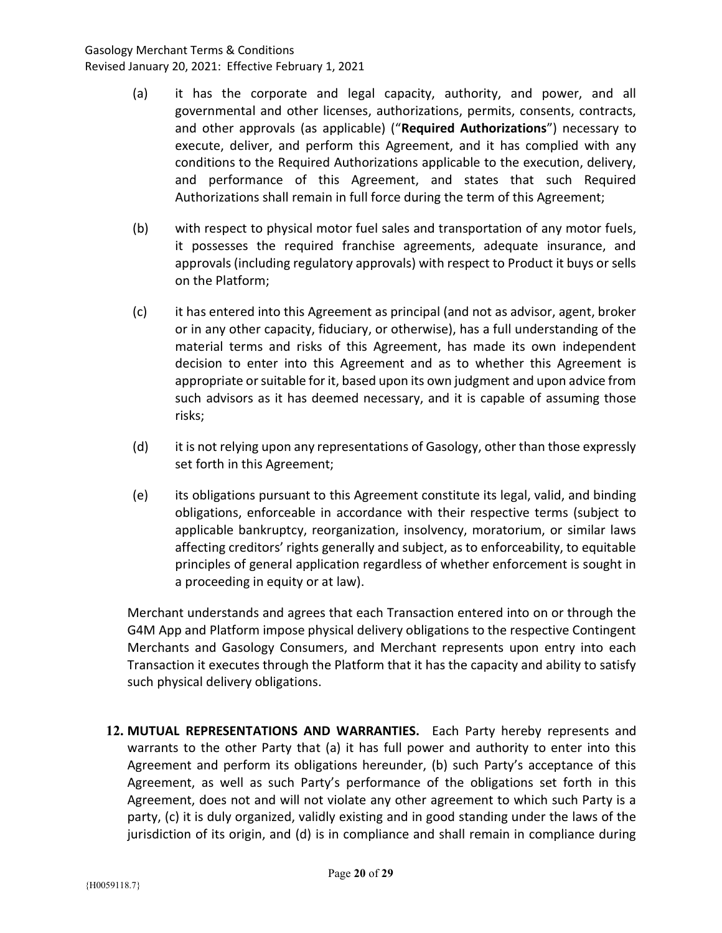- (a) it has the corporate and legal capacity, authority, and power, and all governmental and other licenses, authorizations, permits, consents, contracts, and other approvals (as applicable) ("Required Authorizations") necessary to execute, deliver, and perform this Agreement, and it has complied with any conditions to the Required Authorizations applicable to the execution, delivery, and performance of this Agreement, and states that such Required Authorizations shall remain in full force during the term of this Agreement;
- (b) with respect to physical motor fuel sales and transportation of any motor fuels, it possesses the required franchise agreements, adequate insurance, and approvals (including regulatory approvals) with respect to Product it buys or sells on the Platform;
- (c) it has entered into this Agreement as principal (and not as advisor, agent, broker or in any other capacity, fiduciary, or otherwise), has a full understanding of the material terms and risks of this Agreement, has made its own independent decision to enter into this Agreement and as to whether this Agreement is appropriate or suitable for it, based upon its own judgment and upon advice from such advisors as it has deemed necessary, and it is capable of assuming those risks;
- (d) it is not relying upon any representations of Gasology, other than those expressly set forth in this Agreement;
- (e) its obligations pursuant to this Agreement constitute its legal, valid, and binding obligations, enforceable in accordance with their respective terms (subject to applicable bankruptcy, reorganization, insolvency, moratorium, or similar laws affecting creditors' rights generally and subject, as to enforceability, to equitable principles of general application regardless of whether enforcement is sought in a proceeding in equity or at law).

Merchant understands and agrees that each Transaction entered into on or through the G4M App and Platform impose physical delivery obligations to the respective Contingent Merchants and Gasology Consumers, and Merchant represents upon entry into each Transaction it executes through the Platform that it has the capacity and ability to satisfy such physical delivery obligations.

12. MUTUAL REPRESENTATIONS AND WARRANTIES. Each Party hereby represents and warrants to the other Party that (a) it has full power and authority to enter into this Agreement and perform its obligations hereunder, (b) such Party's acceptance of this Agreement, as well as such Party's performance of the obligations set forth in this Agreement, does not and will not violate any other agreement to which such Party is a party, (c) it is duly organized, validly existing and in good standing under the laws of the jurisdiction of its origin, and (d) is in compliance and shall remain in compliance during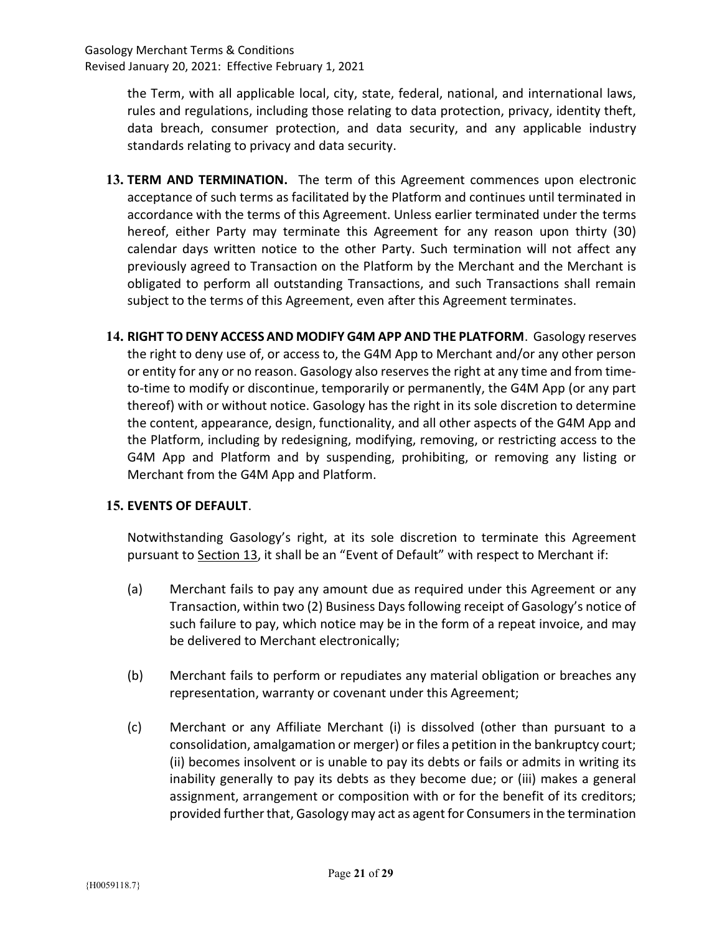> the Term, with all applicable local, city, state, federal, national, and international laws, rules and regulations, including those relating to data protection, privacy, identity theft, data breach, consumer protection, and data security, and any applicable industry standards relating to privacy and data security.

- 13. TERM AND TERMINATION. The term of this Agreement commences upon electronic acceptance of such terms as facilitated by the Platform and continues until terminated in accordance with the terms of this Agreement. Unless earlier terminated under the terms hereof, either Party may terminate this Agreement for any reason upon thirty (30) calendar days written notice to the other Party. Such termination will not affect any previously agreed to Transaction on the Platform by the Merchant and the Merchant is obligated to perform all outstanding Transactions, and such Transactions shall remain subject to the terms of this Agreement, even after this Agreement terminates.
- 14. RIGHT TO DENY ACCESS AND MODIFY G4M APP AND THE PLATFORM. Gasology reserves the right to deny use of, or access to, the G4M App to Merchant and/or any other person or entity for any or no reason. Gasology also reserves the right at any time and from timeto-time to modify or discontinue, temporarily or permanently, the G4M App (or any part thereof) with or without notice. Gasology has the right in its sole discretion to determine the content, appearance, design, functionality, and all other aspects of the G4M App and the Platform, including by redesigning, modifying, removing, or restricting access to the G4M App and Platform and by suspending, prohibiting, or removing any listing or Merchant from the G4M App and Platform.

### 15. EVENTS OF DEFAULT.

Notwithstanding Gasology's right, at its sole discretion to terminate this Agreement pursuant to Section 13, it shall be an "Event of Default" with respect to Merchant if:

- (a) Merchant fails to pay any amount due as required under this Agreement or any Transaction, within two (2) Business Days following receipt of Gasology's notice of such failure to pay, which notice may be in the form of a repeat invoice, and may be delivered to Merchant electronically;
- (b) Merchant fails to perform or repudiates any material obligation or breaches any representation, warranty or covenant under this Agreement;
- (c) Merchant or any Affiliate Merchant (i) is dissolved (other than pursuant to a consolidation, amalgamation or merger) or files a petition in the bankruptcy court; (ii) becomes insolvent or is unable to pay its debts or fails or admits in writing its inability generally to pay its debts as they become due; or (iii) makes a general assignment, arrangement or composition with or for the benefit of its creditors; provided further that, Gasology may act as agent for Consumers in the termination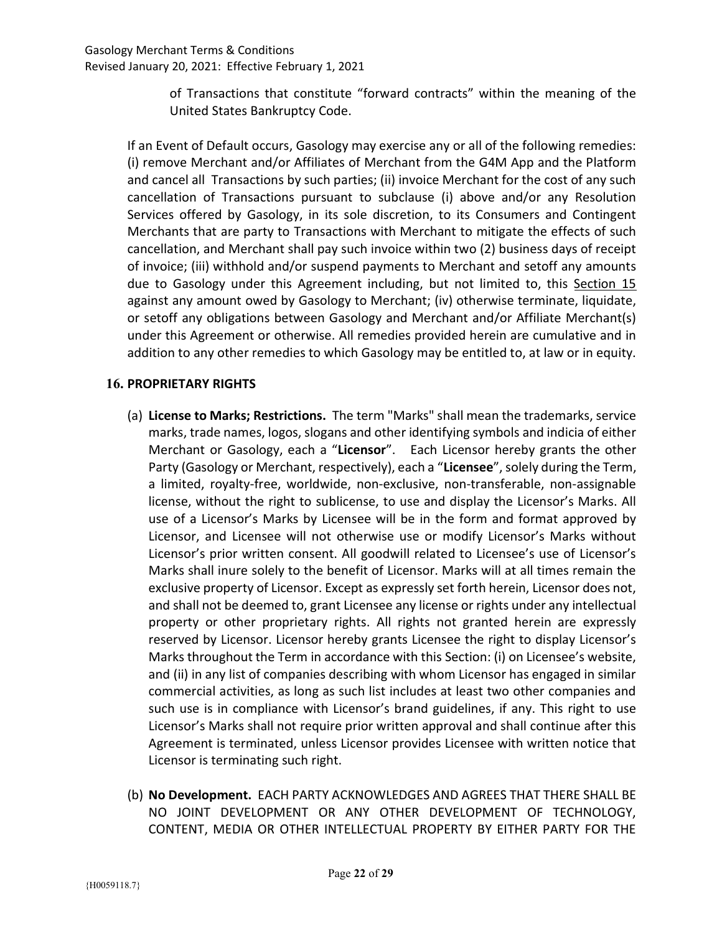of Transactions that constitute "forward contracts" within the meaning of the United States Bankruptcy Code.

If an Event of Default occurs, Gasology may exercise any or all of the following remedies: (i) remove Merchant and/or Affiliates of Merchant from the G4M App and the Platform and cancel all Transactions by such parties; (ii) invoice Merchant for the cost of any such cancellation of Transactions pursuant to subclause (i) above and/or any Resolution Services offered by Gasology, in its sole discretion, to its Consumers and Contingent Merchants that are party to Transactions with Merchant to mitigate the effects of such cancellation, and Merchant shall pay such invoice within two (2) business days of receipt of invoice; (iii) withhold and/or suspend payments to Merchant and setoff any amounts due to Gasology under this Agreement including, but not limited to, this Section 15 against any amount owed by Gasology to Merchant; (iv) otherwise terminate, liquidate, or setoff any obligations between Gasology and Merchant and/or Affiliate Merchant(s) under this Agreement or otherwise. All remedies provided herein are cumulative and in addition to any other remedies to which Gasology may be entitled to, at law or in equity.

# 16. PROPRIETARY RIGHTS

- (a) License to Marks; Restrictions. The term "Marks" shall mean the trademarks, service marks, trade names, logos, slogans and other identifying symbols and indicia of either Merchant or Gasology, each a "Licensor". Each Licensor hereby grants the other Party (Gasology or Merchant, respectively), each a "Licensee", solely during the Term, a limited, royalty-free, worldwide, non-exclusive, non-transferable, non-assignable license, without the right to sublicense, to use and display the Licensor's Marks. All use of a Licensor's Marks by Licensee will be in the form and format approved by Licensor, and Licensee will not otherwise use or modify Licensor's Marks without Licensor's prior written consent. All goodwill related to Licensee's use of Licensor's Marks shall inure solely to the benefit of Licensor. Marks will at all times remain the exclusive property of Licensor. Except as expressly set forth herein, Licensor does not, and shall not be deemed to, grant Licensee any license or rights under any intellectual property or other proprietary rights. All rights not granted herein are expressly reserved by Licensor. Licensor hereby grants Licensee the right to display Licensor's Marks throughout the Term in accordance with this Section: (i) on Licensee's website, and (ii) in any list of companies describing with whom Licensor has engaged in similar commercial activities, as long as such list includes at least two other companies and such use is in compliance with Licensor's brand guidelines, if any. This right to use Licensor's Marks shall not require prior written approval and shall continue after this Agreement is terminated, unless Licensor provides Licensee with written notice that Licensor is terminating such right.
- (b) No Development. EACH PARTY ACKNOWLEDGES AND AGREES THAT THERE SHALL BE NO JOINT DEVELOPMENT OR ANY OTHER DEVELOPMENT OF TECHNOLOGY, CONTENT, MEDIA OR OTHER INTELLECTUAL PROPERTY BY EITHER PARTY FOR THE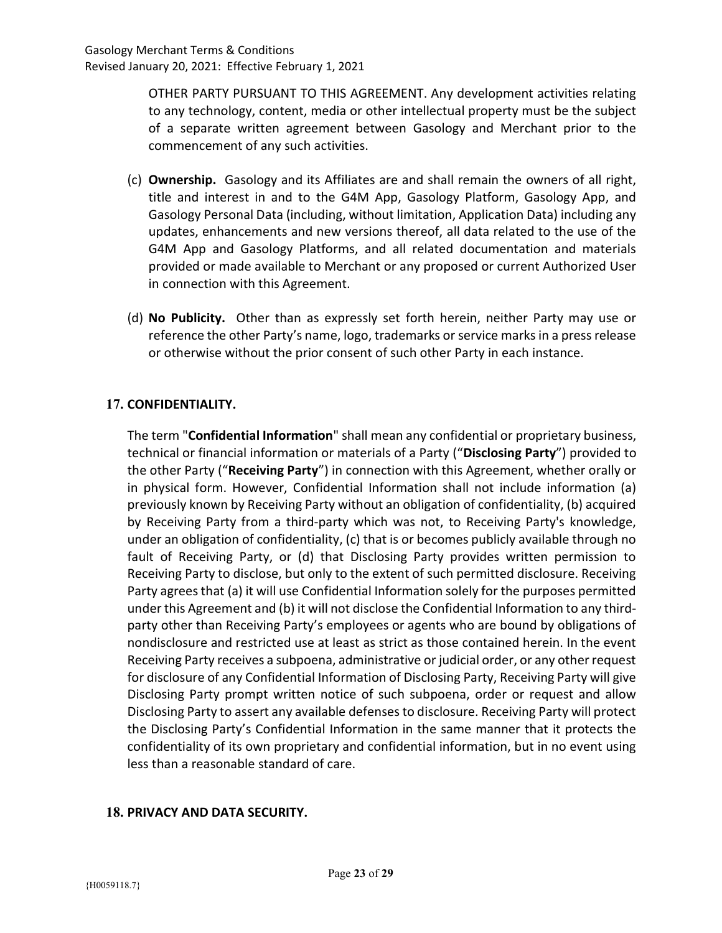OTHER PARTY PURSUANT TO THIS AGREEMENT. Any development activities relating to any technology, content, media or other intellectual property must be the subject of a separate written agreement between Gasology and Merchant prior to the commencement of any such activities.

- (c) Ownership. Gasology and its Affiliates are and shall remain the owners of all right, title and interest in and to the G4M App, Gasology Platform, Gasology App, and Gasology Personal Data (including, without limitation, Application Data) including any updates, enhancements and new versions thereof, all data related to the use of the G4M App and Gasology Platforms, and all related documentation and materials provided or made available to Merchant or any proposed or current Authorized User in connection with this Agreement.
- (d) No Publicity. Other than as expressly set forth herein, neither Party may use or reference the other Party's name, logo, trademarks or service marks in a press release or otherwise without the prior consent of such other Party in each instance.

# 17. CONFIDENTIALITY.

The term "Confidential Information" shall mean any confidential or proprietary business, technical or financial information or materials of a Party ("Disclosing Party") provided to the other Party ("Receiving Party") in connection with this Agreement, whether orally or in physical form. However, Confidential Information shall not include information (a) previously known by Receiving Party without an obligation of confidentiality, (b) acquired by Receiving Party from a third-party which was not, to Receiving Party's knowledge, under an obligation of confidentiality, (c) that is or becomes publicly available through no fault of Receiving Party, or (d) that Disclosing Party provides written permission to Receiving Party to disclose, but only to the extent of such permitted disclosure. Receiving Party agrees that (a) it will use Confidential Information solely for the purposes permitted under this Agreement and (b) it will not disclose the Confidential Information to any thirdparty other than Receiving Party's employees or agents who are bound by obligations of nondisclosure and restricted use at least as strict as those contained herein. In the event Receiving Party receives a subpoena, administrative or judicial order, or any other request for disclosure of any Confidential Information of Disclosing Party, Receiving Party will give Disclosing Party prompt written notice of such subpoena, order or request and allow Disclosing Party to assert any available defenses to disclosure. Receiving Party will protect the Disclosing Party's Confidential Information in the same manner that it protects the confidentiality of its own proprietary and confidential information, but in no event using less than a reasonable standard of care.

# 18. PRIVACY AND DATA SECURITY.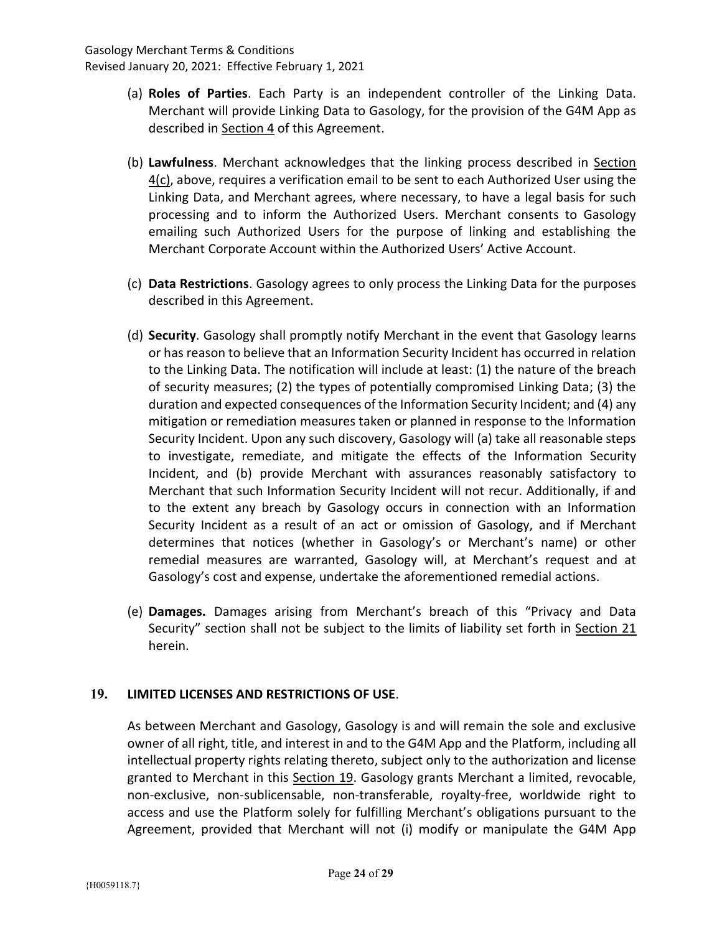- (a) Roles of Parties. Each Party is an independent controller of the Linking Data. Merchant will provide Linking Data to Gasology, for the provision of the G4M App as described in Section 4 of this Agreement.
- (b) Lawfulness. Merchant acknowledges that the linking process described in Section 4(c), above, requires a verification email to be sent to each Authorized User using the Linking Data, and Merchant agrees, where necessary, to have a legal basis for such processing and to inform the Authorized Users. Merchant consents to Gasology emailing such Authorized Users for the purpose of linking and establishing the Merchant Corporate Account within the Authorized Users' Active Account.
- (c) Data Restrictions. Gasology agrees to only process the Linking Data for the purposes described in this Agreement.
- (d) Security. Gasology shall promptly notify Merchant in the event that Gasology learns or has reason to believe that an Information Security Incident has occurred in relation to the Linking Data. The notification will include at least: (1) the nature of the breach of security measures; (2) the types of potentially compromised Linking Data; (3) the duration and expected consequences of the Information Security Incident; and (4) any mitigation or remediation measures taken or planned in response to the Information Security Incident. Upon any such discovery, Gasology will (a) take all reasonable steps to investigate, remediate, and mitigate the effects of the Information Security Incident, and (b) provide Merchant with assurances reasonably satisfactory to Merchant that such Information Security Incident will not recur. Additionally, if and to the extent any breach by Gasology occurs in connection with an Information Security Incident as a result of an act or omission of Gasology, and if Merchant determines that notices (whether in Gasology's or Merchant's name) or other remedial measures are warranted, Gasology will, at Merchant's request and at Gasology's cost and expense, undertake the aforementioned remedial actions.
- (e) Damages. Damages arising from Merchant's breach of this "Privacy and Data Security" section shall not be subject to the limits of liability set forth in Section 21 herein.

# 19. LIMITED LICENSES AND RESTRICTIONS OF USE.

As between Merchant and Gasology, Gasology is and will remain the sole and exclusive owner of all right, title, and interest in and to the G4M App and the Platform, including all intellectual property rights relating thereto, subject only to the authorization and license granted to Merchant in this Section 19. Gasology grants Merchant a limited, revocable, non-exclusive, non-sublicensable, non-transferable, royalty-free, worldwide right to access and use the Platform solely for fulfilling Merchant's obligations pursuant to the Agreement, provided that Merchant will not (i) modify or manipulate the G4M App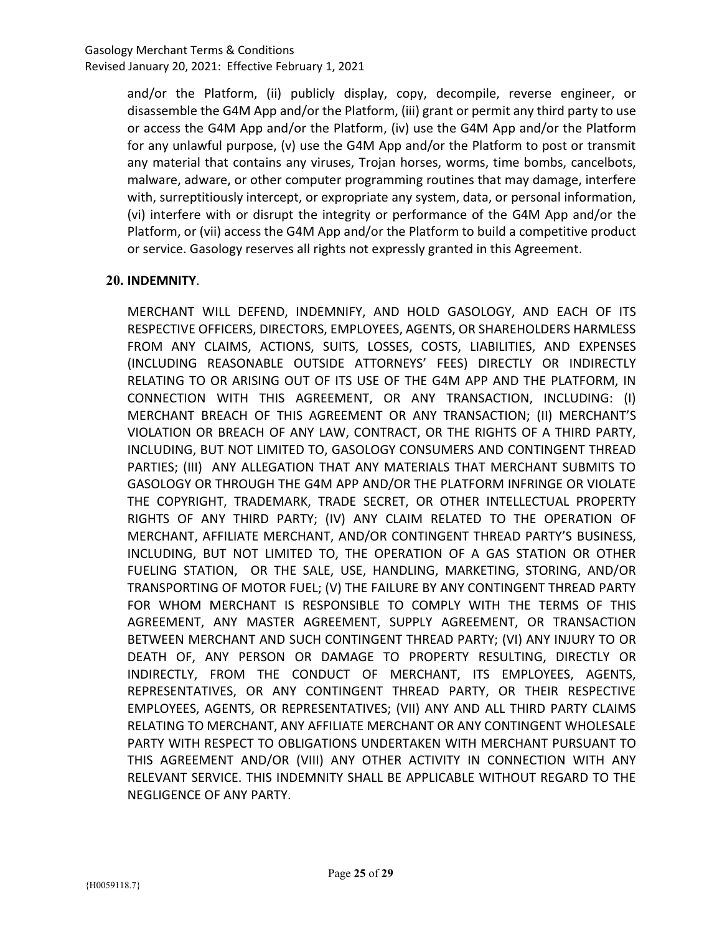and/or the Platform, (ii) publicly display, copy, decompile, reverse engineer, or disassemble the G4M App and/or the Platform, (iii) grant or permit any third party to use or access the G4M App and/or the Platform, (iv) use the G4M App and/or the Platform for any unlawful purpose, (v) use the G4M App and/or the Platform to post or transmit any material that contains any viruses, Trojan horses, worms, time bombs, cancelbots, malware, adware, or other computer programming routines that may damage, interfere with, surreptitiously intercept, or expropriate any system, data, or personal information, (vi) interfere with or disrupt the integrity or performance of the G4M App and/or the Platform, or (vii) access the G4M App and/or the Platform to build a competitive product or service. Gasology reserves all rights not expressly granted in this Agreement.

# 20. INDEMNITY.

MERCHANT WILL DEFEND, INDEMNIFY, AND HOLD GASOLOGY, AND EACH OF ITS RESPECTIVE OFFICERS, DIRECTORS, EMPLOYEES, AGENTS, OR SHAREHOLDERS HARMLESS FROM ANY CLAIMS, ACTIONS, SUITS, LOSSES, COSTS, LIABILITIES, AND EXPENSES (INCLUDING REASONABLE OUTSIDE ATTORNEYS' FEES) DIRECTLY OR INDIRECTLY RELATING TO OR ARISING OUT OF ITS USE OF THE G4M APP AND THE PLATFORM, IN CONNECTION WITH THIS AGREEMENT, OR ANY TRANSACTION, INCLUDING: (I) MERCHANT BREACH OF THIS AGREEMENT OR ANY TRANSACTION; (II) MERCHANT'S VIOLATION OR BREACH OF ANY LAW, CONTRACT, OR THE RIGHTS OF A THIRD PARTY, INCLUDING, BUT NOT LIMITED TO, GASOLOGY CONSUMERS AND CONTINGENT THREAD PARTIES; (III) ANY ALLEGATION THAT ANY MATERIALS THAT MERCHANT SUBMITS TO GASOLOGY OR THROUGH THE G4M APP AND/OR THE PLATFORM INFRINGE OR VIOLATE THE COPYRIGHT, TRADEMARK, TRADE SECRET, OR OTHER INTELLECTUAL PROPERTY RIGHTS OF ANY THIRD PARTY; (IV) ANY CLAIM RELATED TO THE OPERATION OF MERCHANT, AFFILIATE MERCHANT, AND/OR CONTINGENT THREAD PARTY'S BUSINESS, INCLUDING, BUT NOT LIMITED TO, THE OPERATION OF A GAS STATION OR OTHER FUELING STATION, OR THE SALE, USE, HANDLING, MARKETING, STORING, AND/OR TRANSPORTING OF MOTOR FUEL; (V) THE FAILURE BY ANY CONTINGENT THREAD PARTY FOR WHOM MERCHANT IS RESPONSIBLE TO COMPLY WITH THE TERMS OF THIS AGREEMENT, ANY MASTER AGREEMENT, SUPPLY AGREEMENT, OR TRANSACTION BETWEEN MERCHANT AND SUCH CONTINGENT THREAD PARTY; (VI) ANY INJURY TO OR DEATH OF, ANY PERSON OR DAMAGE TO PROPERTY RESULTING, DIRECTLY OR INDIRECTLY, FROM THE CONDUCT OF MERCHANT, ITS EMPLOYEES, AGENTS, REPRESENTATIVES, OR ANY CONTINGENT THREAD PARTY, OR THEIR RESPECTIVE EMPLOYEES, AGENTS, OR REPRESENTATIVES; (VII) ANY AND ALL THIRD PARTY CLAIMS RELATING TO MERCHANT, ANY AFFILIATE MERCHANT OR ANY CONTINGENT WHOLESALE PARTY WITH RESPECT TO OBLIGATIONS UNDERTAKEN WITH MERCHANT PURSUANT TO THIS AGREEMENT AND/OR (VIII) ANY OTHER ACTIVITY IN CONNECTION WITH ANY RELEVANT SERVICE. THIS INDEMNITY SHALL BE APPLICABLE WITHOUT REGARD TO THE NEGLIGENCE OF ANY PARTY.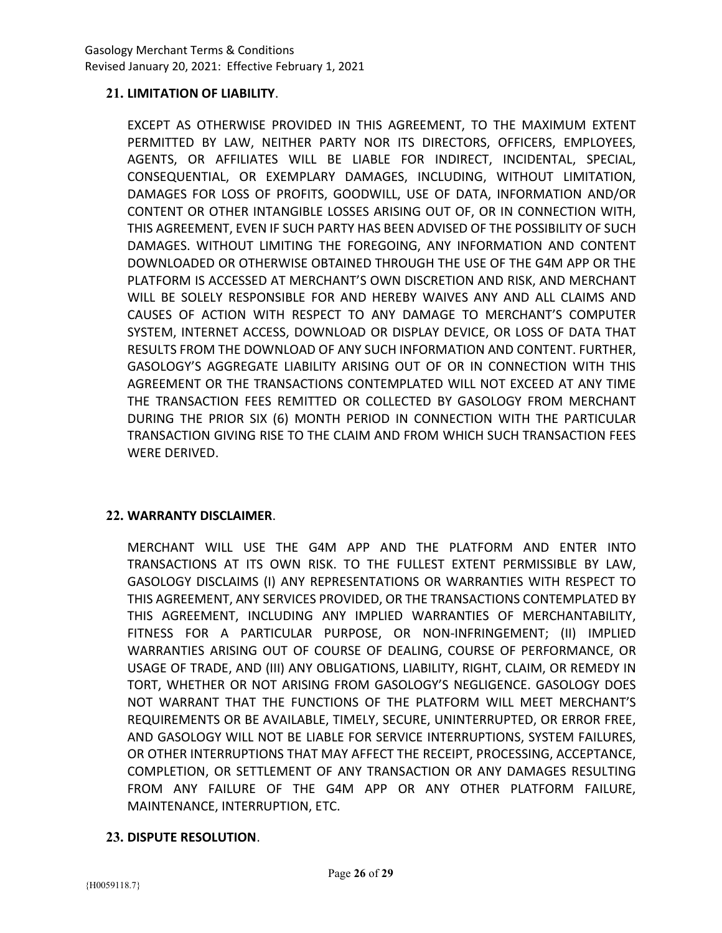## 21. LIMITATION OF LIABILITY.

EXCEPT AS OTHERWISE PROVIDED IN THIS AGREEMENT, TO THE MAXIMUM EXTENT PERMITTED BY LAW, NEITHER PARTY NOR ITS DIRECTORS, OFFICERS, EMPLOYEES, AGENTS, OR AFFILIATES WILL BE LIABLE FOR INDIRECT, INCIDENTAL, SPECIAL, CONSEQUENTIAL, OR EXEMPLARY DAMAGES, INCLUDING, WITHOUT LIMITATION, DAMAGES FOR LOSS OF PROFITS, GOODWILL, USE OF DATA, INFORMATION AND/OR CONTENT OR OTHER INTANGIBLE LOSSES ARISING OUT OF, OR IN CONNECTION WITH, THIS AGREEMENT, EVEN IF SUCH PARTY HAS BEEN ADVISED OF THE POSSIBILITY OF SUCH DAMAGES. WITHOUT LIMITING THE FOREGOING, ANY INFORMATION AND CONTENT DOWNLOADED OR OTHERWISE OBTAINED THROUGH THE USE OF THE G4M APP OR THE PLATFORM IS ACCESSED AT MERCHANT'S OWN DISCRETION AND RISK, AND MERCHANT WILL BE SOLELY RESPONSIBLE FOR AND HEREBY WAIVES ANY AND ALL CLAIMS AND CAUSES OF ACTION WITH RESPECT TO ANY DAMAGE TO MERCHANT'S COMPUTER SYSTEM, INTERNET ACCESS, DOWNLOAD OR DISPLAY DEVICE, OR LOSS OF DATA THAT RESULTS FROM THE DOWNLOAD OF ANY SUCH INFORMATION AND CONTENT. FURTHER, GASOLOGY'S AGGREGATE LIABILITY ARISING OUT OF OR IN CONNECTION WITH THIS AGREEMENT OR THE TRANSACTIONS CONTEMPLATED WILL NOT EXCEED AT ANY TIME THE TRANSACTION FEES REMITTED OR COLLECTED BY GASOLOGY FROM MERCHANT DURING THE PRIOR SIX (6) MONTH PERIOD IN CONNECTION WITH THE PARTICULAR TRANSACTION GIVING RISE TO THE CLAIM AND FROM WHICH SUCH TRANSACTION FEES WERE DERIVED.

### 22. WARRANTY DISCLAIMER.

MERCHANT WILL USE THE G4M APP AND THE PLATFORM AND ENTER INTO TRANSACTIONS AT ITS OWN RISK. TO THE FULLEST EXTENT PERMISSIBLE BY LAW, GASOLOGY DISCLAIMS (I) ANY REPRESENTATIONS OR WARRANTIES WITH RESPECT TO THIS AGREEMENT, ANY SERVICES PROVIDED, OR THE TRANSACTIONS CONTEMPLATED BY THIS AGREEMENT, INCLUDING ANY IMPLIED WARRANTIES OF MERCHANTABILITY, FITNESS FOR A PARTICULAR PURPOSE, OR NON-INFRINGEMENT; (II) IMPLIED WARRANTIES ARISING OUT OF COURSE OF DEALING, COURSE OF PERFORMANCE, OR USAGE OF TRADE, AND (III) ANY OBLIGATIONS, LIABILITY, RIGHT, CLAIM, OR REMEDY IN TORT, WHETHER OR NOT ARISING FROM GASOLOGY'S NEGLIGENCE. GASOLOGY DOES NOT WARRANT THAT THE FUNCTIONS OF THE PLATFORM WILL MEET MERCHANT'S REQUIREMENTS OR BE AVAILABLE, TIMELY, SECURE, UNINTERRUPTED, OR ERROR FREE, AND GASOLOGY WILL NOT BE LIABLE FOR SERVICE INTERRUPTIONS, SYSTEM FAILURES, OR OTHER INTERRUPTIONS THAT MAY AFFECT THE RECEIPT, PROCESSING, ACCEPTANCE, COMPLETION, OR SETTLEMENT OF ANY TRANSACTION OR ANY DAMAGES RESULTING FROM ANY FAILURE OF THE G4M APP OR ANY OTHER PLATFORM FAILURE, MAINTENANCE, INTERRUPTION, ETC.

### 23. DISPUTE RESOLUTION.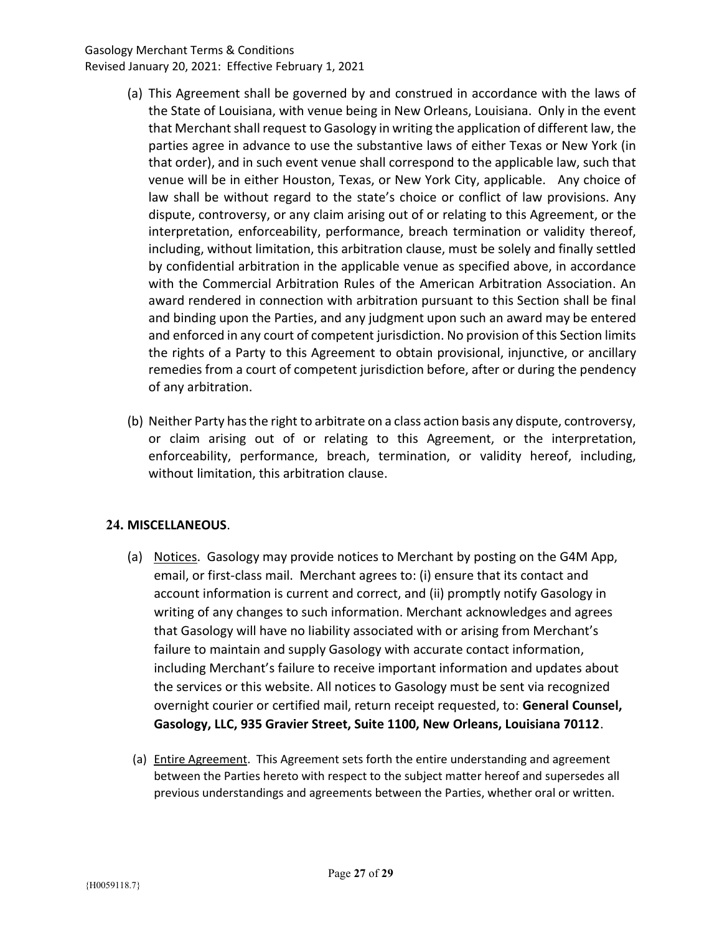- (a) This Agreement shall be governed by and construed in accordance with the laws of the State of Louisiana, with venue being in New Orleans, Louisiana. Only in the event that Merchant shall request to Gasology in writing the application of different law, the parties agree in advance to use the substantive laws of either Texas or New York (in that order), and in such event venue shall correspond to the applicable law, such that venue will be in either Houston, Texas, or New York City, applicable. Any choice of law shall be without regard to the state's choice or conflict of law provisions. Any dispute, controversy, or any claim arising out of or relating to this Agreement, or the interpretation, enforceability, performance, breach termination or validity thereof, including, without limitation, this arbitration clause, must be solely and finally settled by confidential arbitration in the applicable venue as specified above, in accordance with the Commercial Arbitration Rules of the American Arbitration Association. An award rendered in connection with arbitration pursuant to this Section shall be final and binding upon the Parties, and any judgment upon such an award may be entered and enforced in any court of competent jurisdiction. No provision of this Section limits the rights of a Party to this Agreement to obtain provisional, injunctive, or ancillary remedies from a court of competent jurisdiction before, after or during the pendency of any arbitration.
- (b) Neither Party has the right to arbitrate on a class action basis any dispute, controversy, or claim arising out of or relating to this Agreement, or the interpretation, enforceability, performance, breach, termination, or validity hereof, including, without limitation, this arbitration clause.

# 24. MISCELLANEOUS.

- (a) Notices. Gasology may provide notices to Merchant by posting on the G4M App, email, or first-class mail. Merchant agrees to: (i) ensure that its contact and account information is current and correct, and (ii) promptly notify Gasology in writing of any changes to such information. Merchant acknowledges and agrees that Gasology will have no liability associated with or arising from Merchant's failure to maintain and supply Gasology with accurate contact information, including Merchant's failure to receive important information and updates about the services or this website. All notices to Gasology must be sent via recognized overnight courier or certified mail, return receipt requested, to: General Counsel, Gasology, LLC, 935 Gravier Street, Suite 1100, New Orleans, Louisiana 70112.
- (a) Entire Agreement. This Agreement sets forth the entire understanding and agreement between the Parties hereto with respect to the subject matter hereof and supersedes all previous understandings and agreements between the Parties, whether oral or written.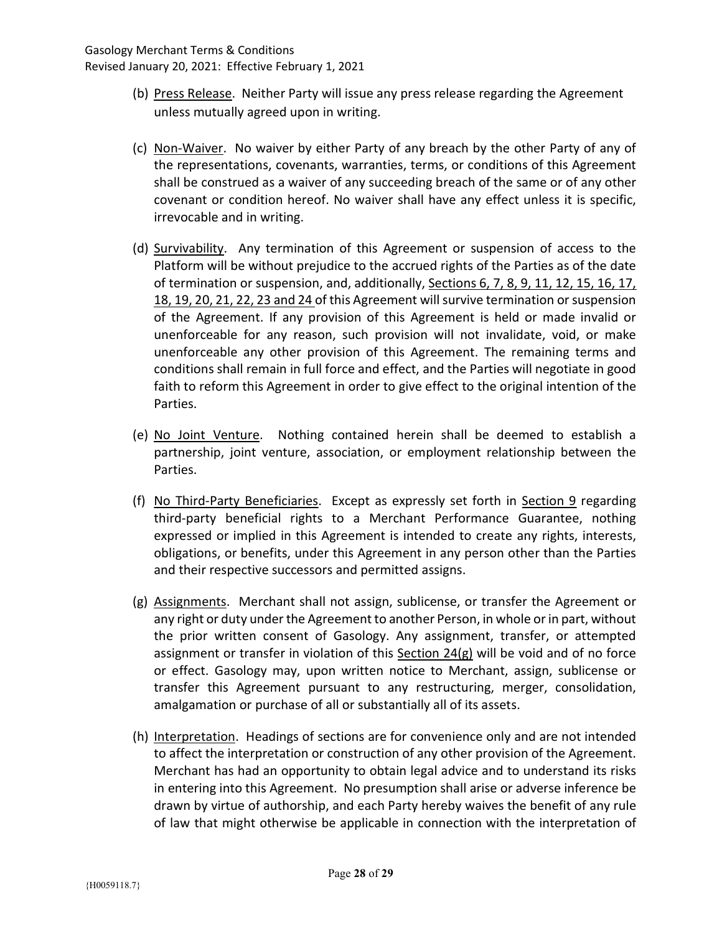- (b) Press Release. Neither Party will issue any press release regarding the Agreement unless mutually agreed upon in writing.
- (c) Non-Waiver. No waiver by either Party of any breach by the other Party of any of the representations, covenants, warranties, terms, or conditions of this Agreement shall be construed as a waiver of any succeeding breach of the same or of any other covenant or condition hereof. No waiver shall have any effect unless it is specific, irrevocable and in writing.
- (d) Survivability. Any termination of this Agreement or suspension of access to the Platform will be without prejudice to the accrued rights of the Parties as of the date of termination or suspension, and, additionally, Sections 6, 7, 8, 9, 11, 12, 15, 16, 17, 18, 19, 20, 21, 22, 23 and 24 of this Agreement will survive termination or suspension of the Agreement. If any provision of this Agreement is held or made invalid or unenforceable for any reason, such provision will not invalidate, void, or make unenforceable any other provision of this Agreement. The remaining terms and conditions shall remain in full force and effect, and the Parties will negotiate in good faith to reform this Agreement in order to give effect to the original intention of the Parties.
- (e) No Joint Venture. Nothing contained herein shall be deemed to establish a partnership, joint venture, association, or employment relationship between the Parties.
- (f) No Third-Party Beneficiaries. Except as expressly set forth in Section 9 regarding third-party beneficial rights to a Merchant Performance Guarantee, nothing expressed or implied in this Agreement is intended to create any rights, interests, obligations, or benefits, under this Agreement in any person other than the Parties and their respective successors and permitted assigns.
- (g) Assignments. Merchant shall not assign, sublicense, or transfer the Agreement or any right or duty under the Agreement to another Person, in whole or in part, without the prior written consent of Gasology. Any assignment, transfer, or attempted assignment or transfer in violation of this Section 24(g) will be void and of no force or effect. Gasology may, upon written notice to Merchant, assign, sublicense or transfer this Agreement pursuant to any restructuring, merger, consolidation, amalgamation or purchase of all or substantially all of its assets.
- (h) Interpretation. Headings of sections are for convenience only and are not intended to affect the interpretation or construction of any other provision of the Agreement. Merchant has had an opportunity to obtain legal advice and to understand its risks in entering into this Agreement. No presumption shall arise or adverse inference be drawn by virtue of authorship, and each Party hereby waives the benefit of any rule of law that might otherwise be applicable in connection with the interpretation of